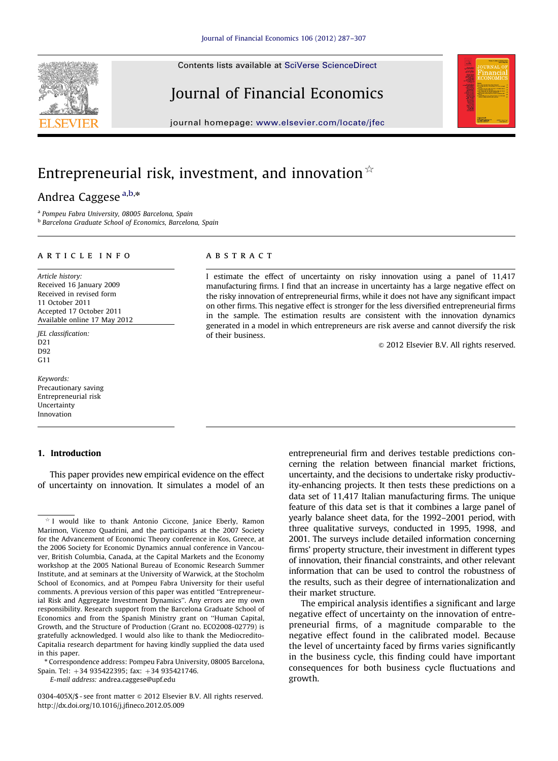Contents lists available at [SciVerse ScienceDirect](www.elsevier.com/locate/jfec)

# Journal of Financial Economics

journal homepage: <www.elsevier.com/locate/jfec>

# Entrepreneurial risk, investment, and innovation  $\dot{x}$

# Andrea Caggese  $a,b,*$

<sup>a</sup> Pompeu Fabra University, 08005 Barcelona, Spain **b Barcelona Graduate School of Economics, Barcelona, Spain** 

#### article info

Article history: Received 16 January 2009 Received in revised form 11 October 2011 Accepted 17 October 2011 Available online 17 May 2012

JEL classification: D21 D92 G11

Keywords: Precautionary saving Entrepreneurial risk Uncertainty Innovation

# 1. Introduction

This paper provides new empirical evidence on the effect of uncertainty on innovation. It simulates a model of an

\* Correspondence address: Pompeu Fabra University, 08005 Barcelona, Spain. Tel: +34 935422395; fax: +34 935421746.

E-mail address: [andrea.caggese@upf.edu](mailto:andrea.caggese@upf.edu)

0304-405X/\$ - see front matter  $\odot$  2012 Elsevier B.V. All rights reserved. [http://dx.doi.org/10.1016/j.jfineco.2012.05.009](dx.doi.org/10.1016/j.jfineco.2012.05.009)

## **ABSTRACT**

I estimate the effect of uncertainty on risky innovation using a panel of 11,417 manufacturing firms. I find that an increase in uncertainty has a large negative effect on the risky innovation of entrepreneurial firms, while it does not have any significant impact on other firms. This negative effect is stronger for the less diversified entrepreneurial firms in the sample. The estimation results are consistent with the innovation dynamics generated in a model in which entrepreneurs are risk averse and cannot diversify the risk of their business.

 $\odot$  2012 Elsevier B.V. All rights reserved.

entrepreneurial firm and derives testable predictions concerning the relation between financial market frictions, uncertainty, and the decisions to undertake risky productivity-enhancing projects. It then tests these predictions on a data set of 11,417 Italian manufacturing firms. The unique feature of this data set is that it combines a large panel of yearly balance sheet data, for the 1992–2001 period, with three qualitative surveys, conducted in 1995, 1998, and 2001. The surveys include detailed information concerning firms' property structure, their investment in different types of innovation, their financial constraints, and other relevant information that can be used to control the robustness of the results, such as their degree of internationalization and their market structure.

The empirical analysis identifies a significant and large negative effect of uncertainty on the innovation of entrepreneurial firms, of a magnitude comparable to the negative effect found in the calibrated model. Because the level of uncertainty faced by firms varies significantly in the business cycle, this finding could have important consequences for both business cycle fluctuations and growth.





 $*$  I would like to thank Antonio Ciccone, Janice Eberly, Ramon Marimon, Vicenzo Quadrini, and the participants at the 2007 Society for the Advancement of Economic Theory conference in Kos, Greece, at the 2006 Society for Economic Dynamics annual conference in Vancouver, British Columbia, Canada, at the Capital Markets and the Economy workshop at the 2005 National Bureau of Economic Research Summer Institute, and at seminars at the University of Warwick, at the Stocholm School of Economics, and at Pompeu Fabra University for their useful comments. A previous version of this paper was entitled ''Entrepreneurial Risk and Aggregate Investment Dynamics''. Any errors are my own responsibility. Research support from the Barcelona Graduate School of Economics and from the Spanish Ministry grant on ''Human Capital, Growth, and the Structure of Production (Grant no. ECO2008-02779) is gratefully acknowledged. I would also like to thank the Mediocredito-Capitalia research department for having kindly supplied the data used in this paper.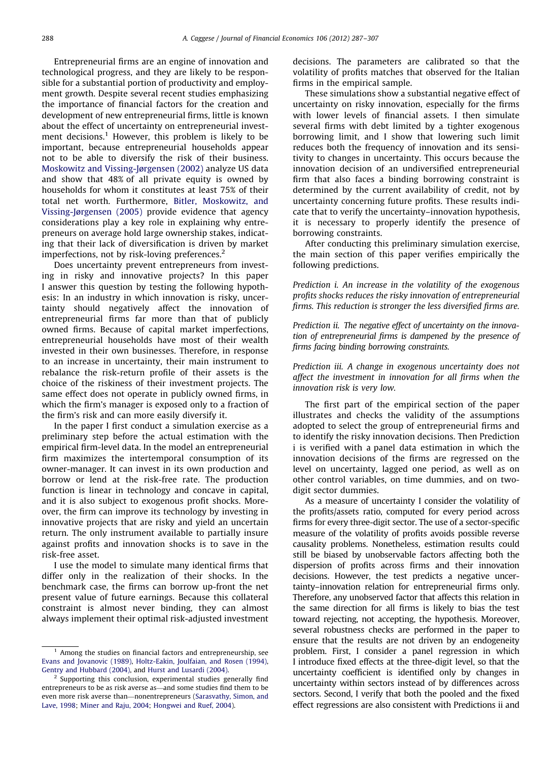Entrepreneurial firms are an engine of innovation and technological progress, and they are likely to be responsible for a substantial portion of productivity and employment growth. Despite several recent studies emphasizing the importance of financial factors for the creation and development of new entrepreneurial firms, little is known about the effect of uncertainty on entrepreneurial investment decisions.<sup>1</sup> However, this problem is likely to be important, because entrepreneurial households appear not to be able to diversify the risk of their business. [Moskowitz and Vissing-Jørgensen \(2002\)](#page-20-0) analyze US data and show that 48% of all private equity is owned by households for whom it constitutes at least 75% of their total net worth. Furthermore, [Bitler, Moskowitz, and](#page-19-0) [Vissing-Jørgensen \(2005\)](#page-19-0) provide evidence that agency considerations play a key role in explaining why entrepreneurs on average hold large ownership stakes, indicating that their lack of diversification is driven by market imperfections, not by risk-loving preferences.<sup>2</sup>

Does uncertainty prevent entrepreneurs from investing in risky and innovative projects? In this paper I answer this question by testing the following hypothesis: In an industry in which innovation is risky, uncertainty should negatively affect the innovation of entrepreneurial firms far more than that of publicly owned firms. Because of capital market imperfections, entrepreneurial households have most of their wealth invested in their own businesses. Therefore, in response to an increase in uncertainty, their main instrument to rebalance the risk-return profile of their assets is the choice of the riskiness of their investment projects. The same effect does not operate in publicly owned firms, in which the firm's manager is exposed only to a fraction of the firm's risk and can more easily diversify it.

In the paper I first conduct a simulation exercise as a preliminary step before the actual estimation with the empirical firm-level data. In the model an entrepreneurial firm maximizes the intertemporal consumption of its owner-manager. It can invest in its own production and borrow or lend at the risk-free rate. The production function is linear in technology and concave in capital, and it is also subject to exogenous profit shocks. Moreover, the firm can improve its technology by investing in innovative projects that are risky and yield an uncertain return. The only instrument available to partially insure against profits and innovation shocks is to save in the risk-free asset.

I use the model to simulate many identical firms that differ only in the realization of their shocks. In the benchmark case, the firms can borrow up-front the net present value of future earnings. Because this collateral constraint is almost never binding, they can almost always implement their optimal risk-adjusted investment decisions. The parameters are calibrated so that the volatility of profits matches that observed for the Italian firms in the empirical sample.

These simulations show a substantial negative effect of uncertainty on risky innovation, especially for the firms with lower levels of financial assets. I then simulate several firms with debt limited by a tighter exogenous borrowing limit, and I show that lowering such limit reduces both the frequency of innovation and its sensitivity to changes in uncertainty. This occurs because the innovation decision of an undiversified entrepreneurial firm that also faces a binding borrowing constraint is determined by the current availability of credit, not by uncertainty concerning future profits. These results indicate that to verify the uncertainty–innovation hypothesis, it is necessary to properly identify the presence of borrowing constraints.

After conducting this preliminary simulation exercise, the main section of this paper verifies empirically the following predictions.

Prediction i. An increase in the volatility of the exogenous profits shocks reduces the risky innovation of entrepreneurial firms. This reduction is stronger the less diversified firms are.

Prediction ii. The negative effect of uncertainty on the innovation of entrepreneurial firms is dampened by the presence of firms facing binding borrowing constraints.

Prediction iii. A change in exogenous uncertainty does not affect the investment in innovation for all firms when the innovation risk is very low.

The first part of the empirical section of the paper illustrates and checks the validity of the assumptions adopted to select the group of entrepreneurial firms and to identify the risky innovation decisions. Then Prediction i is verified with a panel data estimation in which the innovation decisions of the firms are regressed on the level on uncertainty, lagged one period, as well as on other control variables, on time dummies, and on twodigit sector dummies.

As a measure of uncertainty I consider the volatility of the profits/assets ratio, computed for every period across firms for every three-digit sector. The use of a sector-specific measure of the volatility of profits avoids possible reverse causality problems. Nonetheless, estimation results could still be biased by unobservable factors affecting both the dispersion of profits across firms and their innovation decisions. However, the test predicts a negative uncertainty–innovation relation for entrepreneurial firms only. Therefore, any unobserved factor that affects this relation in the same direction for all firms is likely to bias the test toward rejecting, not accepting, the hypothesis. Moreover, several robustness checks are performed in the paper to ensure that the results are not driven by an endogeneity problem. First, I consider a panel regression in which I introduce fixed effects at the three-digit level, so that the uncertainty coefficient is identified only by changes in uncertainty within sectors instead of by differences across sectors. Second, I verify that both the pooled and the fixed effect regressions are also consistent with Predictions ii and

 $1$  Among the studies on financial factors and entrepreneurship, see [Evans and Jovanovic \(1989\)](#page-20-0), [Holtz-Eakin, Joulfaian, and Rosen \(1994\),](#page-20-0) [Gentry and Hubbard \(2004\),](#page-20-0) and [Hurst and Lusardi \(2004\)](#page-20-0).

 $2$  Supporting this conclusion, experimental studies generally find entrepreneurs to be as risk averse as—and some studies find them to be even more risk averse than—nonentrepreneurs ([Sarasvathy, Simon, and](#page-20-0) [Lave, 1998;](#page-20-0) [Miner and Raju, 2004](#page-20-0); [Hongwei and Ruef, 2004\)](#page-20-0).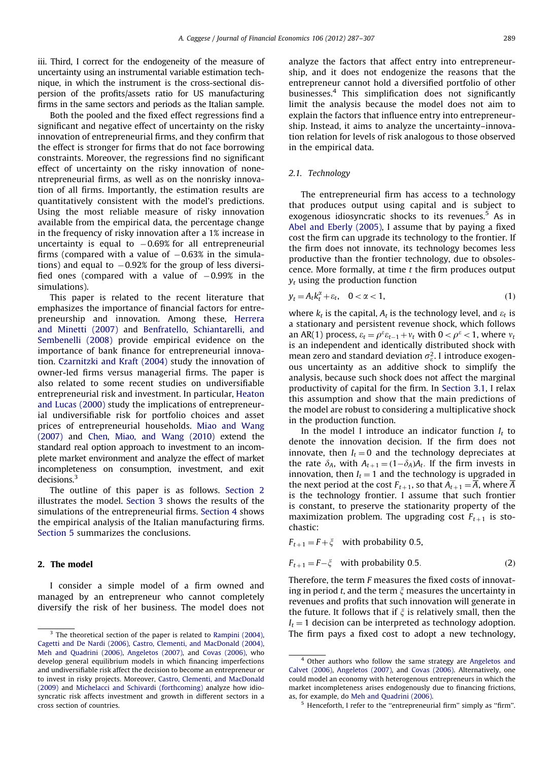iii. Third, I correct for the endogeneity of the measure of uncertainty using an instrumental variable estimation technique, in which the instrument is the cross-sectional dispersion of the profits/assets ratio for US manufacturing firms in the same sectors and periods as the Italian sample.

Both the pooled and the fixed effect regressions find a significant and negative effect of uncertainty on the risky innovation of entrepreneurial firms, and they confirm that the effect is stronger for firms that do not face borrowing constraints. Moreover, the regressions find no significant effect of uncertainty on the risky innovation of nonentrepreneurial firms, as well as on the nonrisky innovation of all firms. Importantly, the estimation results are quantitatively consistent with the model's predictions. Using the most reliable measure of risky innovation available from the empirical data, the percentage change in the frequency of risky innovation after a 1% increase in uncertainty is equal to  $-0.69\%$  for all entrepreneurial firms (compared with a value of  $-0.63\%$  in the simulations) and equal to  $-0.92\%$  for the group of less diversified ones (compared with a value of  $-0.99\%$  in the simulations).

This paper is related to the recent literature that emphasizes the importance of financial factors for entrepreneurship and innovation. Among these, [Herrera](#page-20-0) [and Minetti \(2007\)](#page-20-0) and [Benfratello, Schiantarelli, and](#page-19-0) [Sembenelli \(2008\)](#page-19-0) provide empirical evidence on the importance of bank finance for entrepreneurial innovation. [Czarnitzki and Kraft \(2004\)](#page-20-0) study the innovation of owner-led firms versus managerial firms. The paper is also related to some recent studies on undiversifiable entrepreneurial risk and investment. In particular, [Heaton](#page-20-0) [and Lucas \(2000\)](#page-20-0) study the implications of entrepreneurial undiversifiable risk for portfolio choices and asset prices of entrepreneurial households. [Miao and Wang](#page-20-0) [\(2007\)](#page-20-0) and [Chen, Miao, and Wang \(2010\)](#page-19-0) extend the standard real option approach to investment to an incomplete market environment and analyze the effect of market incompleteness on consumption, investment, and exit decisions<sup>3</sup>

The outline of this paper is as follows. Section 2 illustrates the model. [Section 3](#page-3-0) shows the results of the simulations of the entrepreneurial firms. [Section 4](#page-7-0) shows the empirical analysis of the Italian manufacturing firms. [Section 5](#page-18-0) summarizes the conclusions.

# 2. The model

I consider a simple model of a firm owned and managed by an entrepreneur who cannot completely diversify the risk of her business. The model does not analyze the factors that affect entry into entrepreneurship, and it does not endogenize the reasons that the entrepreneur cannot hold a diversified portfolio of other businesses.4 This simplification does not significantly limit the analysis because the model does not aim to explain the factors that influence entry into entrepreneurship. Instead, it aims to analyze the uncertainty–innovation relation for levels of risk analogous to those observed in the empirical data.

### 2.1. Technology

The entrepreneurial firm has access to a technology that produces output using capital and is subject to exogenous idiosyncratic shocks to its revenues.<sup>5</sup> As in [Abel and Eberly \(2005\),](#page-19-0) I assume that by paying a fixed cost the firm can upgrade its technology to the frontier. If the firm does not innovate, its technology becomes less productive than the frontier technology, due to obsolescence. More formally, at time  $t$  the firm produces output  $v_t$  using the production function

$$
y_t = A_t k_t^{\alpha} + \varepsilon_t, \quad 0 < \alpha < 1,\tag{1}
$$

where  $k_t$  is the capital,  $A_t$  is the technology level, and  $\varepsilon_t$  is a stationary and persistent revenue shock, which follows an AR(1) process,  $\varepsilon_t = \rho^{\varepsilon} \varepsilon_{t-1} + v_t$  with  $0 < \rho^{\varepsilon} < 1$ , where  $v_t$ is an independent and identically distributed shock with mean zero and standard deviation  $\sigma_{\varepsilon}^2$ . I introduce exogenous uncertainty as an additive shock to simplify the analysis, because such shock does not affect the marginal productivity of capital for the firm. In [Section 3.1,](#page-5-0) I relax this assumption and show that the main predictions of the model are robust to considering a multiplicative shock in the production function.

In the model I introduce an indicator function  $I_t$  to denote the innovation decision. If the firm does not innovate, then  $I_t = 0$  and the technology depreciates at the rate  $\delta_A$ , with  $A_{t+1} = (1 - \delta_A)A_t$ . If the firm invests in innovation, then  $I_t = 1$  and the technology is upgraded in the next period at the cost  $F_{t+1}$ , so that  $A_{t+1} = \overline{A}$ , where  $\overline{A}$ is the technology frontier. I assume that such frontier is constant, to preserve the stationarity property of the maximization problem. The upgrading cost  $F_{t+1}$  is stochastic:

$$
F_{t+1} = F + \xi
$$
 with probability 0.5,

 $F_{t+1}$ 

$$
1 = F - \xi \quad \text{with probability } 0.5. \tag{2}
$$

Therefore, the term F measures the fixed costs of innovating in period t, and the term  $\xi$  measures the uncertainty in revenues and profits that such innovation will generate in the future. It follows that if  $\xi$  is relatively small, then the  $I_t = 1$  decision can be interpreted as technology adoption.  $3$  The theoretical section of the paper is related to [Rampini \(2004\)](#page-20-0), The firm pays a fixed cost to adopt a new technology,

[Cagetti and De Nardi \(2006\),](#page-19-0) [Castro, Clementi, and MacDonald \(2004\)](#page-19-0), [Meh and Quadrini \(2006\)](#page-20-0), [Angeletos \(2007\)](#page-19-0), and [Covas \(2006\),](#page-19-0) who develop general equilibrium models in which financing imperfections and undiversifiable risk affect the decision to become an entrepreneur or to invest in risky projects. Moreover, [Castro, Clementi, and MacDonald](#page-19-0) [\(2009\)](#page-19-0) and [Michelacci and Schivardi \(forthcoming\)](#page-20-0) analyze how idiosyncratic risk affects investment and growth in different sectors in a cross section of countries.

<sup>&</sup>lt;sup>4</sup> Other authors who follow the same strategy are [Angeletos and](#page-19-0) [Calvet \(2006\)](#page-19-0), [Angeletos \(2007\)](#page-19-0), and [Covas \(2006\).](#page-19-0) Alternatively, one could model an economy with heterogenous entrepreneurs in which the market incompleteness arises endogenously due to financing frictions, as, for example, do [Meh and Quadrini \(2006\).](#page-20-0)

Henceforth, I refer to the "entrepreneurial firm" simply as "firm".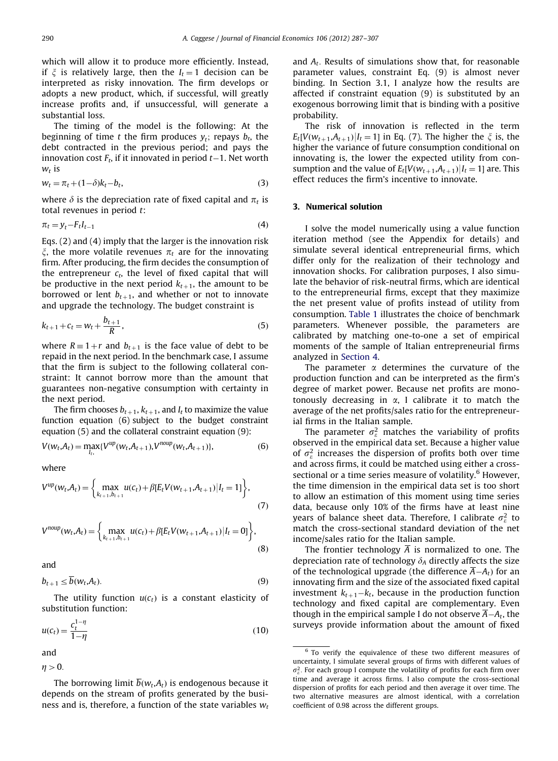<span id="page-3-0"></span>which will allow it to produce more efficiently. Instead, if  $\xi$  is relatively large, then the  $I_t = 1$  decision can be interpreted as risky innovation. The firm develops or adopts a new product, which, if successful, will greatly increase profits and, if unsuccessful, will generate a substantial loss.

The timing of the model is the following: At the beginning of time t the firm produces  $y_t$ ; repays  $b_t$ , the debt contracted in the previous period; and pays the innovation cost  $F_t$ , if it innovated in period  $t-1.$  Net worth  $W_t$  is

$$
w_t = \pi_t + (1 - \delta)k_t - b_t,\tag{3}
$$

where  $\delta$  is the depreciation rate of fixed capital and  $\pi_t$  is total revenues in period t:

$$
\pi_t = y_t - F_t I_{t-1} \tag{4}
$$

Eqs. (2) and (4) imply that the larger is the innovation risk  $\xi$ , the more volatile revenues  $\pi_t$  are for the innovating firm. After producing, the firm decides the consumption of the entrepreneur  $c_t$ , the level of fixed capital that will be productive in the next period  $k_{t+1}$ , the amount to be borrowed or lent  $b_{t+1}$ , and whether or not to innovate and upgrade the technology. The budget constraint is

$$
k_{t+1} + c_t = w_t + \frac{b_{t+1}}{R},
$$
\n(5)

where  $R = 1+r$  and  $b_{t+1}$  is the face value of debt to be repaid in the next period. In the benchmark case, I assume that the firm is subject to the following collateral constraint: It cannot borrow more than the amount that guarantees non-negative consumption with certainty in the next period.

The firm chooses  $b_{t+1}$ ,  $k_{t+1}$ , and  $I_t$  to maximize the value function equation (6) subject to the budget constraint equation (5) and the collateral constraint equation (9):

$$
V(w_t, A_t) = \max_{l_t} \{ V^{up}(w_t, A_{t+1}), V^{noup}(w_t, A_{t+1}) \},
$$
\n(6)

where

$$
V^{up}(w_t, A_t) = \left\{ \max_{k_{t+1}, b_{t+1}} u(c_t) + \beta [E_t V(w_{t+1}, A_{t+1}) | I_t = 1] \right\},\tag{7}
$$

$$
V^{noup}(w_t, A_t) = \left\{\max_{k_{t+1}, b_{t+1}} u(c_t) + \beta [E_t V(w_{t+1}, A_{t+1}) | I_t = 0] \right\},\tag{8}
$$

and

$$
b_{t+1} \le \overline{b}(w_t, A_t). \tag{9}
$$

The utility function  $u(c_t)$  is a constant elasticity of substitution function:

$$
u(c_t) = \frac{c_t^{1-\eta}}{1-\eta}
$$
\n(10)

and

$$
\eta>0.
$$

The borrowing limit  $\overline{b}(w_t,A_t)$  is endogenous because it depends on the stream of profits generated by the business and is, therefore, a function of the state variables  $w_t$ 

and  $A_t$ . Results of simulations show that, for reasonable parameter values, constraint Eq. (9) is almost never binding. In Section 3.1, I analyze how the results are affected if constraint equation (9) is substituted by an exogenous borrowing limit that is binding with a positive probability.

The risk of innovation is reflected in the term  $E_t[V(w_{t+1},A_{t+1})|I_t = 1]$  in Eq. (7). The higher the  $\xi$  is, the higher the variance of future consumption conditional on innovating is, the lower the expected utility from consumption and the value of  $E_t[V(w_{t+1},A_{t+1})|I_t = 1]$  are. This effect reduces the firm's incentive to innovate.

#### 3. Numerical solution

I solve the model numerically using a value function iteration method (see the Appendix for details) and simulate several identical entrepreneurial firms, which differ only for the realization of their technology and innovation shocks. For calibration purposes, I also simulate the behavior of risk-neutral firms, which are identical to the entrepreneurial firms, except that they maximize the net present value of profits instead of utility from consumption. [Table 1](#page-4-0) illustrates the choice of benchmark parameters. Whenever possible, the parameters are calibrated by matching one-to-one a set of empirical moments of the sample of Italian entrepreneurial firms analyzed in [Section 4.](#page-7-0)

The parameter  $\alpha$  determines the curvature of the production function and can be interpreted as the firm's degree of market power. Because net profits are monotonously decreasing in  $\alpha$ , I calibrate it to match the average of the net profits/sales ratio for the entrepreneurial firms in the Italian sample.

The parameter  $\sigma_{\varepsilon}^2$  matches the variability of profits observed in the empirical data set. Because a higher value of  $\sigma_{\varepsilon}^2$  increases the dispersion of profits both over time and across firms, it could be matched using either a crosssectional or a time series measure of volatility.<sup>6</sup> However, the time dimension in the empirical data set is too short to allow an estimation of this moment using time series data, because only 10% of the firms have at least nine years of balance sheet data. Therefore, I calibrate  $\sigma_{\varepsilon}^2$  to match the cross-sectional standard deviation of the net income/sales ratio for the Italian sample.

The frontier technology  $\overline{A}$  is normalized to one. The depreciation rate of technology  $\delta_A$  directly affects the size of the technological upgrade (the difference  $A - A_t$ ) for an innovating firm and the size of the associated fixed capital investment  $k_{t+1}-k_t$ , because in the production function technology and fixed capital are complementary. Even though in the empirical sample I do not observe  $A - A_t$ , the surveys provide information about the amount of fixed

<sup>&</sup>lt;sup>6</sup> To verify the equivalence of these two different measures of uncertainty, I simulate several groups of firms with different values of  $\sigma_{\varepsilon}^2$ . For each group I compute the volatility of profits for each firm over time and average it across firms. I also compute the cross-sectional dispersion of profits for each period and then average it over time. The two alternative measures are almost identical, with a correlation coefficient of 0.98 across the different groups.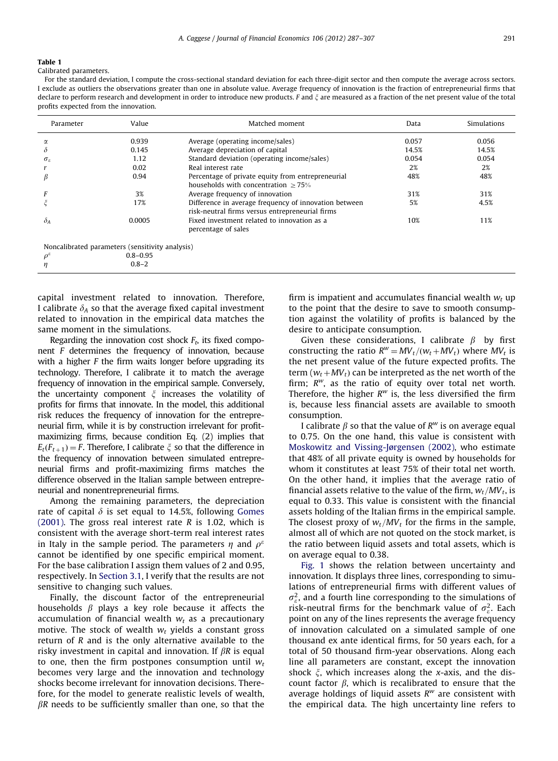<span id="page-4-0"></span>Calibrated parameters.

For the standard deviation, I compute the cross-sectional standard deviation for each three-digit sector and then compute the average across sectors. I exclude as outliers the observations greater than one in absolute value. Average frequency of innovation is the fraction of entrepreneurial firms that declare to perform research and development in order to introduce new products. F and  $\xi$  are measured as a fraction of the net present value of the total profits expected from the innovation.

| Parameter              | Value  | Matched moment                                                                                           | Data  | Simulations |
|------------------------|--------|----------------------------------------------------------------------------------------------------------|-------|-------------|
| α                      | 0.939  | Average (operating income/sales)                                                                         | 0.057 | 0.056       |
| δ                      | 0.145  | Average depreciation of capital                                                                          | 14.5% | 14.5%       |
| $\sigma_{\varepsilon}$ | 1.12   | Standard deviation (operating income/sales)                                                              | 0.054 | 0.054       |
|                        | 0.02   | Real interest rate                                                                                       | 2%    | 2%          |
| β                      | 0.94   | Percentage of private equity from entrepreneurial<br>households with concentration $>75\%$               | 48%   | 48%         |
|                        | 3%     | Average frequency of innovation                                                                          | 31%   | 31%         |
|                        | 17%    | Difference in average frequency of innovation between<br>risk-neutral firms versus entrepreneurial firms | 5%    | 4.5%        |
| $\delta_A$             | 0.0005 | Fixed investment related to innovation as a<br>percentage of sales                                       | 10%   | 11%         |
|                        |        |                                                                                                          |       |             |

Noncalibrated parameters (sensitivity analysis)

 $\rho^{\varepsilon}$  0.8–0.95

 $\eta$  0.8–2

capital investment related to innovation. Therefore, I calibrate  $\delta_A$  so that the average fixed capital investment related to innovation in the empirical data matches the same moment in the simulations.

Regarding the innovation cost shock  $F_t$ , its fixed component F determines the frequency of innovation, because with a higher  $F$  the firm waits longer before upgrading its technology. Therefore, I calibrate it to match the average frequency of innovation in the empirical sample. Conversely, the uncertainty component  $\xi$  increases the volatility of profits for firms that innovate. In the model, this additional risk reduces the frequency of innovation for the entrepreneurial firm, while it is by construction irrelevant for profitmaximizing firms, because condition Eq. (2) implies that  $E_t(F_{t+1}) = F$ . Therefore, I calibrate  $\xi$  so that the difference in the frequency of innovation between simulated entrepreneurial firms and profit-maximizing firms matches the difference observed in the Italian sample between entrepreneurial and nonentrepreneurial firms.

Among the remaining parameters, the depreciation rate of capital  $\delta$  is set equal to 14.5%, following [Gomes](#page-20-0) [\(2001\)](#page-20-0). The gross real interest rate  $R$  is 1.02, which is consistent with the average short-term real interest rates in Italy in the sample period. The parameters  $\eta$  and  $\rho^{\varepsilon}$ cannot be identified by one specific empirical moment. For the base calibration I assign them values of 2 and 0.95, respectively. In [Section 3.1](#page-5-0), I verify that the results are not sensitive to changing such values.

Finally, the discount factor of the entrepreneurial households  $\beta$  plays a key role because it affects the accumulation of financial wealth  $w_t$  as a precautionary motive. The stock of wealth  $w_t$  yields a constant gross return of R and is the only alternative available to the risky investment in capital and innovation. If  $\beta R$  is equal to one, then the firm postpones consumption until  $w_t$ becomes very large and the innovation and technology shocks become irrelevant for innovation decisions. Therefore, for the model to generate realistic levels of wealth,  $\beta$ R needs to be sufficiently smaller than one, so that the

firm is impatient and accumulates financial wealth  $w_t$  up to the point that the desire to save to smooth consumption against the volatility of profits is balanced by the desire to anticipate consumption.

Given these considerations, I calibrate  $\beta$  by first constructing the ratio  $R^w = MV_t/(w_t+MV_t)$  where  $MV_t$  is the net present value of the future expected profits. The term ( $w_t + MV_t$ ) can be interpreted as the net worth of the firm;  $R^w$ , as the ratio of equity over total net worth. Therefore, the higher  $R^{w}$  is, the less diversified the firm is, because less financial assets are available to smooth consumption.

I calibrate  $\beta$  so that the value of  $R^w$  is on average equal to 0.75. On the one hand, this value is consistent with [Moskowitz and Vissing-Jørgensen \(2002\),](#page-20-0) who estimate that 48% of all private equity is owned by households for whom it constitutes at least 75% of their total net worth. On the other hand, it implies that the average ratio of financial assets relative to the value of the firm,  $w_t/MV_t$ , is equal to 0.33. This value is consistent with the financial assets holding of the Italian firms in the empirical sample. The closest proxy of  $w_t/MV_t$  for the firms in the sample, almost all of which are not quoted on the stock market, is the ratio between liquid assets and total assets, which is on average equal to 0.38.

[Fig. 1](#page-5-0) shows the relation between uncertainty and innovation. It displays three lines, corresponding to simulations of entrepreneurial firms with different values of  $\sigma_{\varepsilon}^2$ , and a fourth line corresponding to the simulations of risk-neutral firms for the benchmark value of  $\sigma_{\varepsilon}^2$ . Each point on any of the lines represents the average frequency of innovation calculated on a simulated sample of one thousand ex ante identical firms, for 50 years each, for a total of 50 thousand firm-year observations. Along each line all parameters are constant, except the innovation shock  $\xi$ , which increases along the x-axis, and the discount factor  $\beta$ , which is recalibrated to ensure that the average holdings of liquid assets  $R^w$  are consistent with the empirical data. The high uncertainty line refers to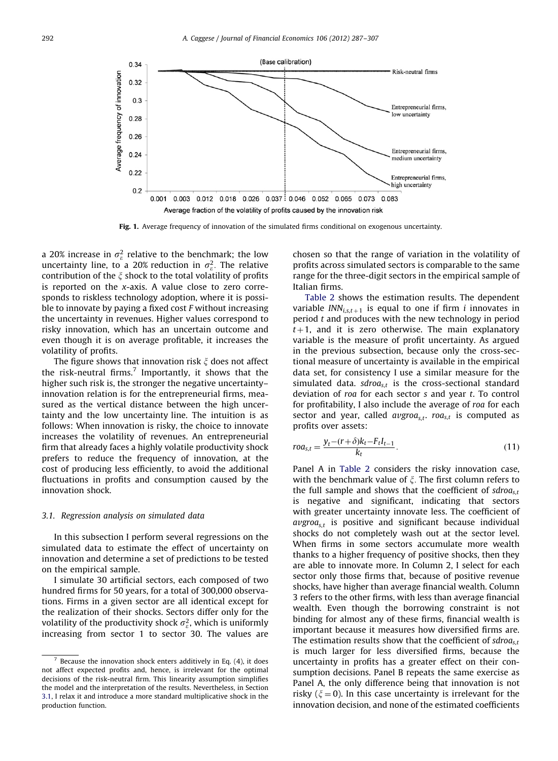<span id="page-5-0"></span>

Fig. 1. Average frequency of innovation of the simulated firms conditional on exogenous uncertainty.

a 20% increase in  $\sigma_{\varepsilon}^2$  relative to the benchmark; the low uncertainty line, to a 20% reduction in  $\sigma_{\varepsilon}^2$ . The relative contribution of the  $\xi$  shock to the total volatility of profits is reported on the x-axis. A value close to zero corresponds to riskless technology adoption, where it is possible to innovate by paying a fixed cost  $F$  without increasing the uncertainty in revenues. Higher values correspond to risky innovation, which has an uncertain outcome and even though it is on average profitable, it increases the volatility of profits.

The figure shows that innovation risk  $\xi$  does not affect the risk-neutral firms.<sup>7</sup> Importantly, it shows that the higher such risk is, the stronger the negative uncertainty– innovation relation is for the entrepreneurial firms, measured as the vertical distance between the high uncertainty and the low uncertainty line. The intuition is as follows: When innovation is risky, the choice to innovate increases the volatility of revenues. An entrepreneurial firm that already faces a highly volatile productivity shock prefers to reduce the frequency of innovation, at the cost of producing less efficiently, to avoid the additional fluctuations in profits and consumption caused by the innovation shock.

#### 3.1. Regression analysis on simulated data

In this subsection I perform several regressions on the simulated data to estimate the effect of uncertainty on innovation and determine a set of predictions to be tested on the empirical sample.

I simulate 30 artificial sectors, each composed of two hundred firms for 50 years, for a total of 300,000 observations. Firms in a given sector are all identical except for the realization of their shocks. Sectors differ only for the volatility of the productivity shock  $\sigma_{\varepsilon}^2$ , which is uniformly increasing from sector 1 to sector 30. The values are chosen so that the range of variation in the volatility of profits across simulated sectors is comparable to the same range for the three-digit sectors in the empirical sample of Italian firms.

[Table 2](#page-6-0) shows the estimation results. The dependent variable  $INN_{i,s,t+1}$  is equal to one if firm *i* innovates in period  $t$  and produces with the new technology in period  $t+1$ , and it is zero otherwise. The main explanatory variable is the measure of profit uncertainty. As argued in the previous subsection, because only the cross-sectional measure of uncertainty is available in the empirical data set, for consistency I use a similar measure for the simulated data.  $sdroa_{s,t}$  is the cross-sectional standard deviation of  $roa$  for each sector  $s$  and year  $t$ . To control for profitability, I also include the average of roa for each sector and year, called  $\alpha v \text{g} roa_{s,t}$  roa<sub>s,t</sub> is computed as profits over assets:

$$
roa_{s,t} = \frac{y_t - (r + \delta)k_t - F_t I_{t-1}}{k_t}.
$$
\n(11)

Panel A in [Table 2](#page-6-0) considers the risky innovation case, with the benchmark value of  $\xi$ . The first column refers to the full sample and shows that the coefficient of  $sdroa_{s,t}$ is negative and significant, indicating that sectors with greater uncertainty innovate less. The coefficient of  $avgroa<sub>s,t</sub>$  is positive and significant because individual shocks do not completely wash out at the sector level. When firms in some sectors accumulate more wealth thanks to a higher frequency of positive shocks, then they are able to innovate more. In Column 2, I select for each sector only those firms that, because of positive revenue shocks, have higher than average financial wealth. Column 3 refers to the other firms, with less than average financial wealth. Even though the borrowing constraint is not binding for almost any of these firms, financial wealth is important because it measures how diversified firms are. The estimation results show that the coefficient of  $sdroa_{s,t}$ is much larger for less diversified firms, because the uncertainty in profits has a greater effect on their consumption decisions. Panel B repeats the same exercise as Panel A, the only difference being that innovation is not risky ( $\xi = 0$ ). In this case uncertainty is irrelevant for the innovation decision, and none of the estimated coefficients

 $7$  Because the innovation shock enters additively in Eq. (4), it does not affect expected profits and, hence, is irrelevant for the optimal decisions of the risk-neutral firm. This linearity assumption simplifies the model and the interpretation of the results. Nevertheless, in Section 3.1, I relax it and introduce a more standard multiplicative shock in the production function.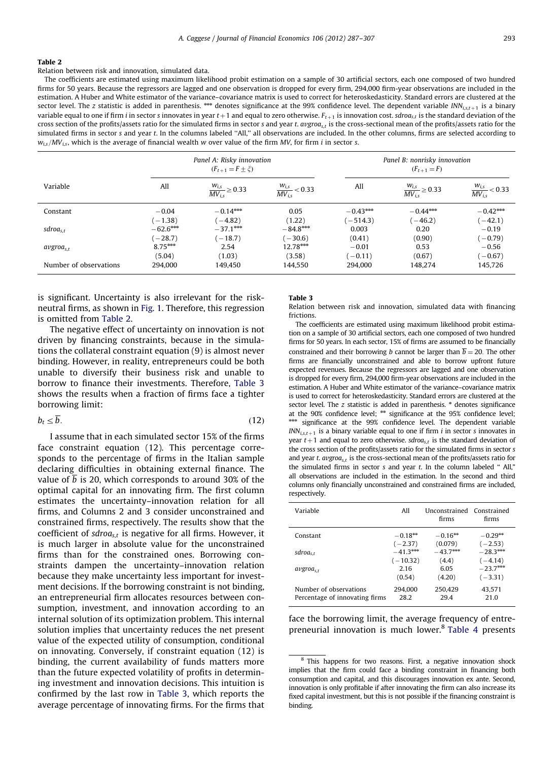<span id="page-6-0"></span>Relation between risk and innovation, simulated data.

The coefficients are estimated using maximum likelihood probit estimation on a sample of 30 artificial sectors, each one composed of two hundred firms for 50 years. Because the regressors are lagged and one observation is dropped for every firm, 294,000 firm-year observations are included in the estimation. A Huber and White estimator of the variance–covariance matrix is used to correct for heteroskedasticity. Standard errors are clustered at the sector level. The z statistic is added in parenthesis. \*\*\* denotes significance at the 99% confidence level. The dependent variable  $INN_{i,s,t+1}$  is a binary variable equal to one if firm *i* in sector s innovates in year  $t+1$  and equal to zero otherwise.  $F_{t+1}$  is innovation cost. sdroas,t is the standard deviation of the cross section of the profits/assets ratio for the simulated firms in sector s and year t. avgroas, is the cross-sectional mean of the profits/assets ratio for the simulated firms in sector s and year t. In the columns labeled ''All,'' all observations are included. In the other columns, firms are selected according to  $w_i$ , MV<sub>is</sub>, which is the average of financial wealth w over value of the firm MV, for firm i in sector s.

|                        |            | Panel A: Risky innovation<br>$(F_{t+1} = F \pm \xi)$ |                                   |            | Panel B: nonrisky innovation<br>$(F_{t+1} = F)$ |                                   |  |  |
|------------------------|------------|------------------------------------------------------|-----------------------------------|------------|-------------------------------------------------|-----------------------------------|--|--|
| Variable               | All        | $\frac{W_{i,s}}{MV_{i,s}} \geq 0.33$                 | $\frac{W_{i,s}}{MV_{i,s}}$ < 0.33 | All        | $\frac{W_{i,s}}{MV_{i,s}} \geq 0.33$            | $\frac{W_{i,s}}{MV_{i,s}}$ < 0.33 |  |  |
| Constant               | $-0.04$    | $-0.14***$                                           | 0.05                              | $-0.43***$ | $-0.44***$                                      | $-0.42***$                        |  |  |
|                        | $(-1.38)$  | $(-4.82)$                                            | (1.22)                            | $(-514.3)$ | $-46.2)$                                        | $(-42.1)$                         |  |  |
| sdroa <sub>s,t</sub>   | $-62.6***$ | $-37.1***$                                           | $-84.8***$                        | 0.003      | 0.20                                            | $-0.19$                           |  |  |
|                        | $(-28.7)$  | $-18.7$                                              | $-30.6$                           | (0.41)     | (0.90)                                          | $(-0.79)$                         |  |  |
| avgroa <sub>s,t</sub>  | $8.75***$  | 2.54                                                 | $12.78***$                        | $-0.01$    | 0.53                                            | $-0.56$                           |  |  |
|                        | (5.04)     | (1.03)                                               | (3.58)                            | $(-0.11)$  | (0.67)                                          | $(-0.67)$                         |  |  |
| Number of observations | 294.000    | 149.450                                              | 144,550                           | 294.000    | 148.274                                         | 145,726                           |  |  |

is significant. Uncertainty is also irrelevant for the riskneutral firms, as shown in [Fig. 1.](#page-5-0) Therefore, this regression is omitted from Table 2.

The negative effect of uncertainty on innovation is not driven by financing constraints, because in the simulations the collateral constraint equation (9) is almost never binding. However, in reality, entrepreneurs could be both unable to diversify their business risk and unable to borrow to finance their investments. Therefore, Table 3 shows the results when a fraction of firms face a tighter borrowing limit:

$$
b_t \le \overline{b}.\tag{12}
$$

I assume that in each simulated sector 15% of the firms face constraint equation (12). This percentage corresponds to the percentage of firms in the Italian sample declaring difficulties in obtaining external finance. The value of b is 20, which corresponds to around 30% of the optimal capital for an innovating firm. The first column estimates the uncertainty–innovation relation for all firms, and Columns 2 and 3 consider unconstrained and constrained firms, respectively. The results show that the coefficient of  $sdroa_{s,t}$  is negative for all firms. However, it is much larger in absolute value for the unconstrained firms than for the constrained ones. Borrowing constraints dampen the uncertainty–innovation relation because they make uncertainty less important for investment decisions. If the borrowing constraint is not binding, an entrepreneurial firm allocates resources between consumption, investment, and innovation according to an internal solution of its optimization problem. This internal solution implies that uncertainty reduces the net present value of the expected utility of consumption, conditional on innovating. Conversely, if constraint equation (12) is binding, the current availability of funds matters more than the future expected volatility of profits in determining investment and innovation decisions. This intuition is confirmed by the last row in Table 3, which reports the average percentage of innovating firms. For the firms that

## Table 3

Relation between risk and innovation, simulated data with financing frictions.

The coefficients are estimated using maximum likelihood probit estimation on a sample of 30 artificial sectors, each one composed of two hundred firms for 50 years. In each sector, 15% of firms are assumed to be financially constrained and their borrowing *b* cannot be larger than  $\overline{b} = 20$ . The other firms are financially unconstrained and able to borrow upfront future expected revenues. Because the regressors are lagged and one observation is dropped for every firm, 294,000 firm-year observations are included in the estimation. A Huber and White estimator of the variance–covariance matrix is used to correct for heteroskedasticity. Standard errors are clustered at the sector level. The  $z$  statistic is added in parenthesis.  $*$  denotes significance at the 90% confidence level; \*\* significance at the 95% confidence level; significance at the 99% confidence level. The dependent variable  $INN<sub>i,s,t+1</sub>$  is a binary variable equal to one if firm i in sector s innovates in year  $t+1$  and equal to zero otherwise. sdroa<sub>s,t</sub> is the standard deviation of the cross section of the profits/assets ratio for the simulated firms in sector s and year t.  $avgroa_{s,t}$  is the cross-sectional mean of the profits/assets ratio for the simulated firms in sector s and year  $t$ . In the column labeled "All" all observations are included in the estimation. In the second and third columns only financially unconstrained and constrained firms are included, respectively.

| Variable                                                 | A11             | Hnconstrained Constrained<br>firms | firms          |
|----------------------------------------------------------|-----------------|------------------------------------|----------------|
| Constant                                                 | $-0.18***$      | $-0.16***$                         | $-0.29***$     |
|                                                          | $(-2.37)$       | (0.079)                            | $(-2.53)$      |
| sdroa <sub>s,t</sub>                                     | $-41.3***$      | $-43.7***$                         | $-28.3***$     |
|                                                          | $(-10.32)$      | (4.4)                              | $(-4.14)$      |
| $avgroa_{st}$                                            | 2.16            | 6.05                               | $-23.7***$     |
|                                                          | (0.54)          | (4.20)                             | $(-3.31)$      |
| Number of observations<br>Percentage of innovating firms | 294.000<br>28.2 | 250,429<br>29.4                    | 43,571<br>21.0 |

face the borrowing limit, the average frequency of entrepreneurial innovation is much lower.8 [Table 4](#page-7-0) presents

<sup>8</sup> This happens for two reasons. First, a negative innovation shock implies that the firm could face a binding constraint in financing both consumption and capital, and this discourages innovation ex ante. Second, innovation is only profitable if after innovating the firm can also increase its fixed capital investment, but this is not possible if the financing constraint is binding.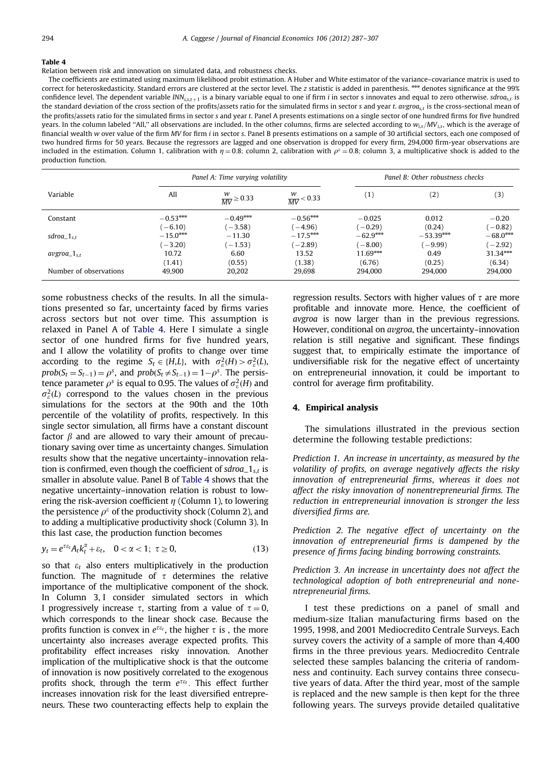<span id="page-7-0"></span>Relation between risk and innovation on simulated data, and robustness checks.

The coefficients are estimated using maximum likelihood probit estimation. A Huber and White estimator of the variance–covariance matrix is used to correct for heteroskedasticity. Standard errors are clustered at the sector level. The z statistic is added in parenthesis.<sup>\*\*\*</sup> denotes significance at the 99% confidence level. The dependent variable  $INN_{i,s,t+1}$  is a binary variable equal to one if firm i in sector s innovates and equal to zero otherwise. sdroa<sub>s,t</sub> is the standard deviation of the cross section of the profits/assets ratio for the simulated firms in sector s and year t.  $\frac{avgrod_e}{}$ , is the cross-sectional mean of the profits/assets ratio for the simulated firms in sector s and year t. Panel A presents estimations on a single sector of one hundred firms for five hundred years. In the column labeled "All," all observations are included. In the other columns, firms are selected according to  $w_{is}/MV_{is}$ , which is the average of financial wealth w over value of the firm MV for firm i in sector s. Panel B presents estimations on a sample of 30 artificial sectors, each one composed of two hundred firms for 50 years. Because the regressors are lagged and one observation is dropped for every firm, 294,000 firm-year observations are included in the estimation. Column 1, calibration with  $\eta = 0.8$ ; column 2, calibration with  $\rho^e = 0.8$ ; column 3, a multiplicative shock is added to the production function.

|                        |                              | Panel A: Time varying volatility |                              | Panel B: Other robustness checks  |                           |                                 |  |
|------------------------|------------------------------|----------------------------------|------------------------------|-----------------------------------|---------------------------|---------------------------------|--|
| Variable               | All                          | $\frac{W}{MV} \ge 0.33$          | w<br>$\frac{W}{MV}$ < 0.33   | (1)                               | (2)                       | (3)                             |  |
| Constant               | $-0.53***$<br>$(-6.10)$      | $-0.49***$<br>$-3.58$ )          | $-0.56***$<br>$(-4.96)$      | $-0.025$<br>$-0.29$               | 0.012<br>(0.24)           | $-0.20$<br>$-0.82$ )            |  |
| $sdroa_1_{s,t}$        | $-15.0***$                   | $-11.30$                         | $-17.5***$                   | $-62.9***$                        | $-53.39***$               | $-68.0***$                      |  |
| $avgroa_1_{s,t}$       | $(-3.20)$<br>10.72<br>(1.41) | $-1.53)$<br>6.60<br>(0.55)       | $(-2.89)$<br>13.52<br>(1.38) | $-8.00$ )<br>$11.69***$<br>(6.76) | $-9.99$<br>0.49<br>(0.25) | $-2.92$<br>$31.34***$<br>(6.34) |  |
| Number of observations | 49.900                       | 20,202                           | 29,698                       | 294.000                           | 294,000                   | 294,000                         |  |

some robustness checks of the results. In all the simulations presented so far, uncertainty faced by firms varies across sectors but not over time. This assumption is relaxed in Panel A of Table 4. Here I simulate a single sector of one hundred firms for five hundred years, and I allow the volatility of profits to change over time according to the regime  $S_t \in \{H, L\}$ , with  $\sigma_\varepsilon^2(H) > \sigma_\varepsilon^2(L)$ ,  $prob(S_t = S_{t-1}) = \rho^s$ , and  $prob(S_t \neq S_{t-1}) = 1 - \rho^s$ . The persistence parameter  $\rho^s$  is equal to 0.95. The values of  $\sigma_{\varepsilon}^2(H)$  and  $\sigma_{\varepsilon}^2(L)$  correspond to the values chosen in the previous simulations for the sectors at the 90th and the 10th percentile of the volatility of profits, respectively. In this single sector simulation, all firms have a constant discount factor  $\beta$  and are allowed to vary their amount of precautionary saving over time as uncertainty changes. Simulation results show that the negative uncertainty–innovation relation is confirmed, even though the coefficient of  $sdroa_1<sub>s,t</sub>$  is smaller in absolute value. Panel B of Table 4 shows that the negative uncertainty–innovation relation is robust to lowering the risk-aversion coefficient  $\eta$  (Column 1), to lowering the persistence  $\rho^{\varepsilon}$  of the productivity shock (Column 2), and to adding a multiplicative productivity shock (Column 3). In this last case, the production function becomes

$$
y_t = e^{\tau \varepsilon_t} A_t k_t^{\alpha} + \varepsilon_t, \quad 0 < \alpha < 1; \ \tau \ge 0,
$$
\n(13)

so that  $\varepsilon_t$  also enters multiplicatively in the production function. The magnitude of  $\tau$  determines the relative importance of the multiplicative component of the shock. In Column 3, I consider simulated sectors in which I progressively increase  $\tau$ , starting from a value of  $\tau = 0$ , which corresponds to the linear shock case. Because the profits function is convex in  $e^{\tau \varepsilon_t}$ , the higher  $\tau$  is, the more uncertainty also increases average expected profits. This profitability effect increases risky innovation. Another implication of the multiplicative shock is that the outcome of innovation is now positively correlated to the exogenous profits shock, through the term  $e^{\tau \varepsilon_t}$ . This effect further increases innovation risk for the least diversified entrepreneurs. These two counteracting effects help to explain the

regression results. Sectors with higher values of  $\tau$  are more profitable and innovate more. Hence, the coefficient of avgroa is now larger than in the previous regressions. However, conditional on avgroa, the uncertainty–innovation relation is still negative and significant. These findings suggest that, to empirically estimate the importance of undiversifiable risk for the negative effect of uncertainty on entrepreneurial innovation, it could be important to control for average firm profitability.

## 4. Empirical analysis

The simulations illustrated in the previous section determine the following testable predictions:

Prediction 1. An increase in uncertainty, as measured by the volatility of profits, on average negatively affects the risky innovation of entrepreneurial firms, whereas it does not affect the risky innovation of nonentrepreneurial firms. The reduction in entrepreneurial innovation is stronger the less diversified firms are.

Prediction 2. The negative effect of uncertainty on the innovation of entrepreneurial firms is dampened by the presence of firms facing binding borrowing constraints.

Prediction 3. An increase in uncertainty does not affect the technological adoption of both entrepreneurial and nonentrepreneurial firms.

I test these predictions on a panel of small and medium-size Italian manufacturing firms based on the 1995, 1998, and 2001 Mediocredito Centrale Surveys. Each survey covers the activity of a sample of more than 4,400 firms in the three previous years. Mediocredito Centrale selected these samples balancing the criteria of randomness and continuity. Each survey contains three consecutive years of data. After the third year, most of the sample is replaced and the new sample is then kept for the three following years. The surveys provide detailed qualitative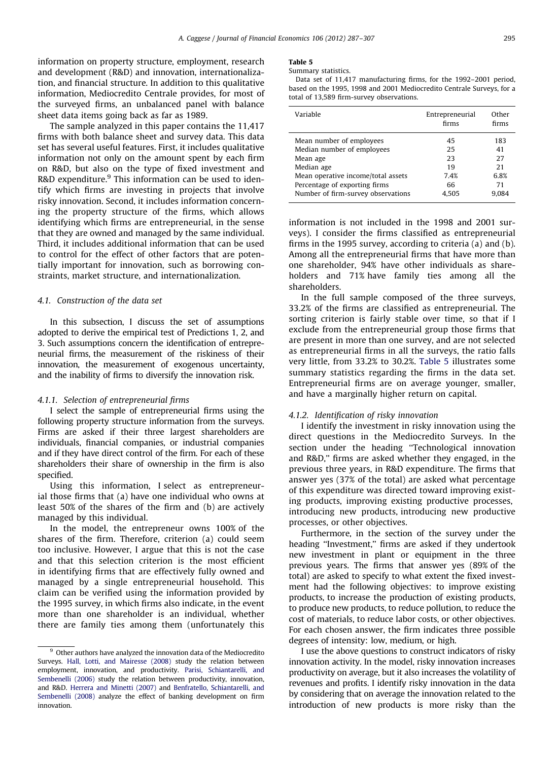<span id="page-8-0"></span>information on property structure, employment, research and development (R&D) and innovation, internationalization, and financial structure. In addition to this qualitative information, Mediocredito Centrale provides, for most of the surveyed firms, an unbalanced panel with balance sheet data items going back as far as 1989.

The sample analyzed in this paper contains the 11,417 firms with both balance sheet and survey data. This data set has several useful features. First, it includes qualitative information not only on the amount spent by each firm on R&D, but also on the type of fixed investment and R&D expenditure. $9$  This information can be used to identify which firms are investing in projects that involve risky innovation. Second, it includes information concerning the property structure of the firms, which allows identifying which firms are entrepreneurial, in the sense that they are owned and managed by the same individual. Third, it includes additional information that can be used to control for the effect of other factors that are potentially important for innovation, such as borrowing constraints, market structure, and internationalization.

## 4.1. Construction of the data set

In this subsection, I discuss the set of assumptions adopted to derive the empirical test of Predictions 1, 2, and 3. Such assumptions concern the identification of entrepreneurial firms, the measurement of the riskiness of their innovation, the measurement of exogenous uncertainty, and the inability of firms to diversify the innovation risk.

#### 4.1.1. Selection of entrepreneurial firms

I select the sample of entrepreneurial firms using the following property structure information from the surveys. Firms are asked if their three largest shareholders are individuals, financial companies, or industrial companies and if they have direct control of the firm. For each of these shareholders their share of ownership in the firm is also specified.

Using this information, I select as entrepreneurial those firms that (a) have one individual who owns at least 50% of the shares of the firm and (b) are actively managed by this individual.

In the model, the entrepreneur owns 100% of the shares of the firm. Therefore, criterion (a) could seem too inclusive. However, I argue that this is not the case and that this selection criterion is the most efficient in identifying firms that are effectively fully owned and managed by a single entrepreneurial household. This claim can be verified using the information provided by the 1995 survey, in which firms also indicate, in the event more than one shareholder is an individual, whether there are family ties among them (unfortunately this

# Table 5

Summary statistics.

Data set of 11,417 manufacturing firms, for the 1992–2001 period, based on the 1995, 1998 and 2001 Mediocredito Centrale Surveys, for a total of 13,589 firm-survey observations.

| Variable                           | Entrepreneurial<br>firms | Other<br>firms |
|------------------------------------|--------------------------|----------------|
| Mean number of employees           | 45                       | 183            |
| Median number of employees         | 25                       | 41             |
| Mean age                           | 23                       | 27             |
| Median age                         | 19                       | 21             |
| Mean operative income/total assets | 7.4%                     | 6.8%           |
| Percentage of exporting firms      | 66                       | 71             |
| Number of firm-survey observations | 4.505                    | 9.084          |
|                                    |                          |                |

information is not included in the 1998 and 2001 surveys). I consider the firms classified as entrepreneurial firms in the 1995 survey, according to criteria (a) and (b). Among all the entrepreneurial firms that have more than one shareholder, 94% have other individuals as shareholders and 71% have family ties among all the shareholders.

In the full sample composed of the three surveys, 33.2% of the firms are classified as entrepreneurial. The sorting criterion is fairly stable over time, so that if I exclude from the entrepreneurial group those firms that are present in more than one survey, and are not selected as entrepreneurial firms in all the surveys, the ratio falls very little, from 33.2% to 30.2%. Table 5 illustrates some summary statistics regarding the firms in the data set. Entrepreneurial firms are on average younger, smaller, and have a marginally higher return on capital.

### 4.1.2. Identification of risky innovation

I identify the investment in risky innovation using the direct questions in the Mediocredito Surveys. In the section under the heading ''Technological innovation and R&D,'' firms are asked whether they engaged, in the previous three years, in R&D expenditure. The firms that answer yes (37% of the total) are asked what percentage of this expenditure was directed toward improving existing products, improving existing productive processes, introducing new products, introducing new productive processes, or other objectives.

Furthermore, in the section of the survey under the heading ''Investment,'' firms are asked if they undertook new investment in plant or equipment in the three previous years. The firms that answer yes (89% of the total) are asked to specify to what extent the fixed investment had the following objectives: to improve existing products, to increase the production of existing products, to produce new products, to reduce pollution, to reduce the cost of materials, to reduce labor costs, or other objectives. For each chosen answer, the firm indicates three possible degrees of intensity: low, medium, or high.

I use the above questions to construct indicators of risky innovation activity. In the model, risky innovation increases productivity on average, but it also increases the volatility of revenues and profits. I identify risky innovation in the data by considering that on average the innovation related to the introduction of new products is more risky than the

<sup>&</sup>lt;sup>9</sup> Other authors have analyzed the innovation data of the Mediocredito Surveys. [Hall, Lotti, and Mairesse \(2008\)](#page-20-0) study the relation between employment, innovation, and productivity. [Parisi, Schiantarelli, and](#page-20-0) [Sembenelli \(2006\)](#page-20-0) study the relation between productivity, innovation, and R&D. [Herrera and Minetti \(2007\)](#page-20-0) and [Benfratello, Schiantarelli, and](#page-19-0) [Sembenelli \(2008\)](#page-19-0) analyze the effect of banking development on firm innovation.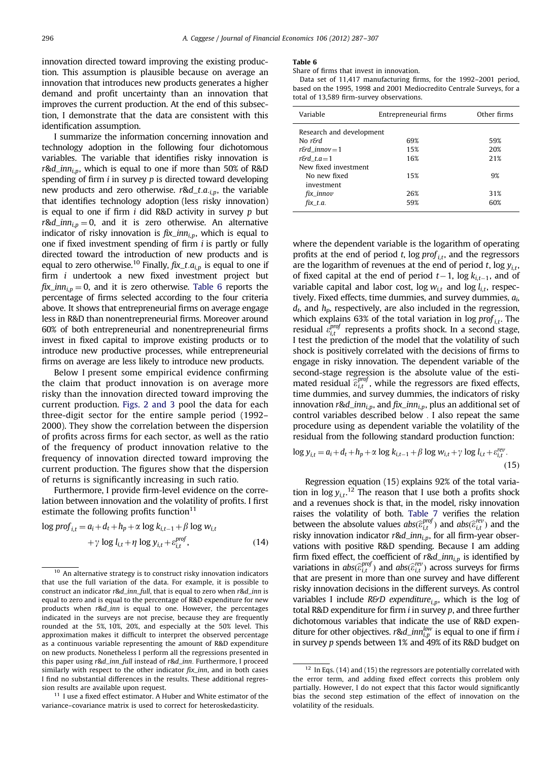innovation directed toward improving the existing production. This assumption is plausible because on average an innovation that introduces new products generates a higher demand and profit uncertainty than an innovation that improves the current production. At the end of this subsection, I demonstrate that the data are consistent with this identification assumption.

I summarize the information concerning innovation and technology adoption in the following four dichotomous variables. The variable that identifies risky innovation is r&d\_inn<sub>i,p</sub>, which is equal to one if more than 50% of R&D spending of firm  $i$  in survey  $p$  is directed toward developing new products and zero otherwise.  $r \& d_t a_{i,p}$ , the variable that identifies technology adoption (less risky innovation) is equal to one if firm  $i$  did R&D activity in survey  $p$  but  $r \& d_{i}$ *inn*<sub>i,p</sub> = 0, and it is zero otherwise. An alternative indicator of risky innovation is  $fix\_inn_{in}$ , which is equal to one if fixed investment spending of firm i is partly or fully directed toward the introduction of new products and is equal to zero otherwise.<sup>10</sup> Finally,  $fix\_t.a_{i,p}$  is equal to one if firm i undertook a new fixed investment project but  $fix\_inn_{i,p} = 0$ , and it is zero otherwise. Table 6 reports the percentage of firms selected according to the four criteria above. It shows that entrepreneurial firms on average engage less in R&D than nonentrepreneurial firms. Moreover around 60% of both entrepreneurial and nonentrepreneurial firms invest in fixed capital to improve existing products or to introduce new productive processes, while entrepreneurial firms on average are less likely to introduce new products.

Below I present some empirical evidence confirming the claim that product innovation is on average more risky than the innovation directed toward improving the current production. [Figs. 2 and 3](#page-10-0) pool the data for each three-digit sector for the entire sample period (1992– 2000). They show the correlation between the dispersion of profits across firms for each sector, as well as the ratio of the frequency of product innovation relative to the frequency of innovation directed toward improving the current production. The figures show that the dispersion of returns is significantly increasing in such ratio.

Furthermore, I provide firm-level evidence on the correlation between innovation and the volatility of profits. I first estimate the following profits function $11$ 

$$
\log prof_{i,t} = a_i + d_t + h_p + \alpha \log k_{i,t-1} + \beta \log w_{i,t}
$$

$$
+ \gamma \log l_{i,t} + \eta \log y_{i,t} + \varepsilon_{i,t}^{prof}, \tag{14}
$$

 $11$  I use a fixed effect estimator. A Huber and White estimator of the variance–covariance matrix is used to correct for heteroskedasticity.

#### Table 6

Share of firms that invest in innovation.

Data set of 11,417 manufacturing firms, for the 1992–2001 period, based on the 1995, 1998 and 2001 Mediocredito Centrale Surveys, for a total of 13,589 firm-survey observations.

| Variable                 | Entrepreneurial firms | Other firms |
|--------------------------|-----------------------|-------------|
| Research and development |                       |             |
| No r&d                   | 69%                   | 59%         |
| $rGd$ innov = 1          | 15%                   | 20%         |
| $rGd$ t.a = 1            | 16%                   | 21%         |
| New fixed investment     |                       |             |
| No new fixed             | 15%                   | 9%          |
| investment               |                       |             |
| $fix\_innov$             | 26%                   | 31%         |
| $fix$ t.a.               | 59%                   | 60%         |
|                          |                       |             |

where the dependent variable is the logarithm of operating profits at the end of period t, log  $prof_{it}$ , and the regressors are the logarithm of revenues at the end of period t,  $\log y_{it}$ , of fixed capital at the end of period  $t-1$ , log  $k_{i,t-1}$ , and of variable capital and labor cost,  $\log w_{it}$  and  $\log l_{it}$ , respectively. Fixed effects, time dummies, and survey dummies,  $a_i$  $d_t$ , and  $h_p$ , respectively, are also included in the regression, which explains 63% of the total variation in log  $prof_{it}$ . The residual  $\varepsilon_{i,t}^{prof}$  represents a profits shock. In a second stage, I test the prediction of the model that the volatility of such shock is positively correlated with the decisions of firms to engage in risky innovation. The dependent variable of the second-stage regression is the absolute value of the estimated residual  $\hat{\epsilon}_{i,t}^{prof}$ , while the regressors are fixed effects, time dummies, and survey dummies, the indicators of risky innovation  $r \& d\_inn_{i,p}$ , and  $fix\_inn_{i,p}$ , plus an additional set of control variables described below : I also repeat the same procedure using as dependent variable the volatility of the residual from the following standard production function:

$$
\log y_{i,t} = a_i + d_t + h_p + \alpha \log k_{i,t-1} + \beta \log w_{i,t} + \gamma \log l_{i,t} + \varepsilon_{i,t}^{rev}.
$$
\n(15)

Regression equation (15) explains 92% of the total variation in  $\log y_{i,t}$ .<sup>12</sup> The reason that I use both a profits shock and a revenues shock is that, in the model, risky innovation raises the volatility of both. [Table 7](#page-11-0) verifies the relation between the absolute values  $abs(\widehat{\epsilon}_{i,t}^{prof})$  and  $abs(\widehat{\epsilon}_{i,t}^{rev})$  and the risky innovation indicator  $r$ &d\_inn<sub>i,p</sub>, for all firm-year observations with positive R&D spending. Because I am adding firm fixed effect, the coefficient of  $r \& d_{i,p}$  is identified by variations in  $abs(\hat{\epsilon}_{i,t}^{prof})$  and  $abs(\hat{\epsilon}_{i,t}^{rev})$  across surveys for firms that are present in more than one survey and have different risky innovation decisions in the different surveys. As control variables I include  $R\&D$  expenditure<sub>i,p</sub>, which is the log of total R&D expenditure for firm  $i$  in survey  $p$ , and three further dichotomous variables that indicate the use of R&D expenditure for other objectives.  $r$ &d\_inn<sup>low</sup> is equal to one if firm i in survey p spends between 1% and 49% of its R&D budget on

 $10$  An alternative strategy is to construct risky innovation indicators that use the full variation of the data. For example, it is possible to construct an indicator r&d\_inn\_full, that is equal to zero when r&d\_inn is equal to zero and is equal to the percentage of R&D expenditure for new products when r&d\_inn is equal to one. However, the percentages indicated in the surveys are not precise, because they are frequently rounded at the 5%, 10%, 20%, and especially at the 50% level. This approximation makes it difficult to interpret the observed percentage as a continuous variable representing the amount of R&D expenditure on new products. Nonetheless I perform all the regressions presented in this paper using r&d\_inn\_full instead of r&d\_inn. Furthermore, I proceed similarly with respect to the other indicator  $fix$  inn, and in both cases I find no substantial differences in the results. These additional regression results are available upon request.

 $12$  In Eqs. (14) and (15) the regressors are potentially correlated with the error term, and adding fixed effect corrects this problem only partially. However, I do not expect that this factor would significantly bias the second step estimation of the effect of innovation on the volatility of the residuals.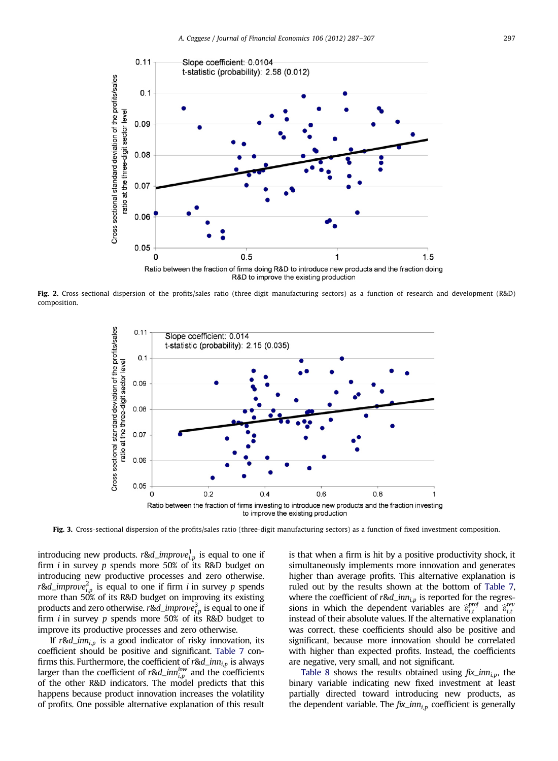<span id="page-10-0"></span>

Fig. 2. Cross-sectional dispersion of the profits/sales ratio (three-digit manufacturing sectors) as a function of research and development (R&D) composition.



Fig. 3. Cross-sectional dispersion of the profits/sales ratio (three-digit manufacturing sectors) as a function of fixed investment composition.

introducing new products. r&d\_impro $ve_{i,p}^1$  is equal to one if firm i in survey p spends more 50% of its R&D budget on introducing new productive processes and zero otherwise. r&d\_impro $ve_{i,p}^2$  is equal to one if firm i in survey p spends more than 50% of its R&D budget on improving its existing products and zero otherwise.  $r$ &d\_impro $\nu e_{i,p}^3$  is equal to one if firm i in survey p spends more 50% of its R&D budget to improve its productive processes and zero otherwise.

If  $r \& d_{i,p}$  is a good indicator of risky innovation, its coefficient should be positive and significant. [Table 7](#page-11-0) confirms this. Furthermore, the coefficient of  $r$ &d\_inn<sub>i,p</sub> is always larger than the coefficient of r&d\_inn $_{i,p}^{low}$  and the coefficients of the other R&D indicators. The model predicts that this happens because product innovation increases the volatility of profits. One possible alternative explanation of this result

is that when a firm is hit by a positive productivity shock, it simultaneously implements more innovation and generates higher than average profits. This alternative explanation is ruled out by the results shown at the bottom of [Table 7](#page-11-0), where the coefficient of  $r \& d_{i,p}$  is reported for the regressions in which the dependent variables are  $\hat{\varepsilon}^{prof}_{i,t}$  and  $\hat{\varepsilon}^{rep}_{i,t}$ instead of their absolute values. If the alternative explanation was correct, these coefficients should also be positive and significant, because more innovation should be correlated with higher than expected profits. Instead, the coefficients are negative, very small, and not significant.

[Table 8](#page-12-0) shows the results obtained using  $fix\_inn_{i,p}$ , the binary variable indicating new fixed investment at least partially directed toward introducing new products, as the dependent variable. The  $fix\_inn_{i,p}$  coefficient is generally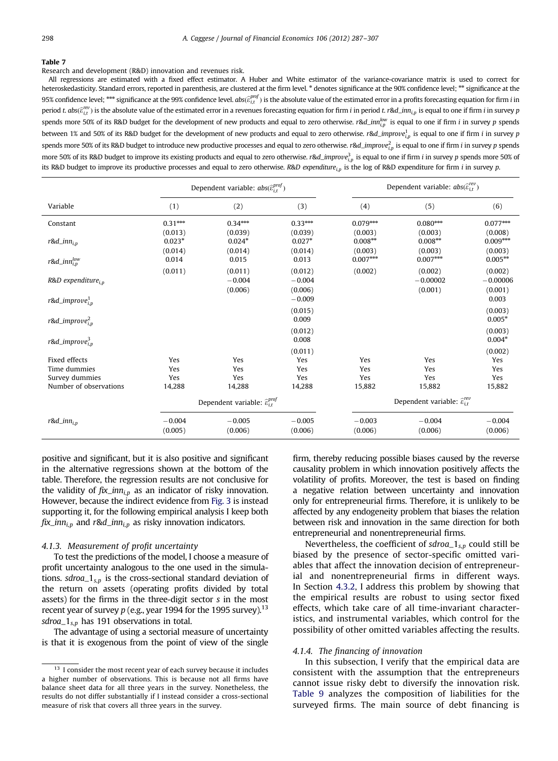<span id="page-11-0"></span>Research and development (R&D) innovation and revenues risk.

All regressions are estimated with a fixed effect estimator. A Huber and White estimator of the variance-covariance matrix is used to correct for heteroskedasticity. Standard errors, reported in parenthesis, are clustered at the firm level. \* denotes significance at the 90% confidence level; \*\* significance at the 95% confidence level; \*\*\* significance at the 99% confidence level.  $abs(\widehat{e}_{i,t}^{proj})$  is the absolute value of the estimated error in a profits forecasting equation for firm *i* in period t. abs $(\widehat{\varepsilon}^{rev}_{i,t})$  is the absolute value of the estimated error in a revenues forecasting equation for firm i in period t. r&d\_im $_{i,p}$  is equal to one if firm i in survey p spends more 50% of its R&D budget for the development of new products and equal to zero otherwise. r&d\_inn $_{i,p}^{low}$  is equal to one if firm i in survey p spends between 1% and 50% of its R&D budget for the development of new products and equal to zero otherwise. r&d\_improve $^1_{i,p}$  is equal to one if firm  $i$  in survey p spends more 50% of its R&D budget to introduce new productive processes and equal to zero otherwise. r&d\_impro $v\epsilon_{i\rho}^2$  is equal to one if firm  $i$  in survey  $p$  spends more 50% of its R&D budget to improve its existing products and equal to zero otherwise. r&d\_improve $^3_{i,p}$  is equal to one if firm i in survey p spends more 50% of its R&D budget to improve its productive processes and equal to zero otherwise. R&D expenditure<sub>in</sub> is the log of R&D expenditure for firm *i* in survey p.

|                                |                                | Dependent variable: $abs(\widehat{\varepsilon}_{i,t}^{proj})$ |                                | Dependent variable: $abs(\hat{\varepsilon}_{i,t}^{rev})$ |                                  |                                  |
|--------------------------------|--------------------------------|---------------------------------------------------------------|--------------------------------|----------------------------------------------------------|----------------------------------|----------------------------------|
| Variable                       | (1)                            | (2)                                                           | (3)                            | (4)                                                      | (5)                              | (6)                              |
| Constant                       | $0.31***$                      | $0.34***$                                                     | $0.33***$                      | $0.079***$                                               | $0.080***$                       | $0.077***$                       |
| $r$ &d_inn <sub>i,p</sub>      | (0.013)<br>$0.023*$<br>(0.014) | (0.039)<br>$0.024*$<br>(0.014)                                | (0.039)<br>$0.027*$<br>(0.014) | (0.003)<br>$0.008**$<br>(0.003)                          | (0.003)<br>$0.008**$<br>(0.003)  | (0.008)<br>$0.009***$<br>(0.003) |
| $r$ &d_inn $_{i,p}^{low}$      | 0.014                          | 0.015                                                         | 0.013                          | $0.007***$                                               | $0.007***$                       | $0.005***$                       |
| $R&D$ expenditure, $n$         | (0.011)                        | (0.011)<br>$-0.004$<br>(0.006)                                | (0.012)<br>$-0.004$<br>(0.006) | (0.002)                                                  | (0.002)<br>$-0.00002$<br>(0.001) | (0.002)<br>$-0.00006$<br>(0.001) |
| r&d_improve $_{i,n}^1$         |                                |                                                               | $-0.009$                       |                                                          |                                  | 0.003                            |
| r&d_improve $_{i,n}^2$         |                                |                                                               | (0.015)<br>0.009               |                                                          |                                  | (0.003)<br>$0.005*$              |
| $r$ &d_improve $_{i,n}^3$      |                                |                                                               | (0.012)<br>0.008               |                                                          |                                  | (0.003)<br>$0.004*$              |
|                                |                                |                                                               | (0.011)                        |                                                          |                                  | (0.002)                          |
| Fixed effects                  | Yes                            | Yes                                                           | Yes                            | Yes                                                      | Yes                              | Yes                              |
| Time dummies<br>Survey dummies | Yes<br>Yes                     | Yes<br>Yes                                                    | Yes<br>Yes                     | Yes<br>Yes                                               | Yes<br>Yes                       | Yes<br>Yes                       |
| Number of observations         | 14,288                         | 14,288                                                        | 14,288                         | 15,882                                                   | 15,882                           | 15,882                           |
|                                |                                | Dependent variable: $\widehat{\varepsilon}_{i,t}^{prof}$      |                                | Dependent variable: $\hat{\varepsilon}^{rev}_{i}$        |                                  |                                  |
| $r$ &d_inn <sub>i.p</sub>      | $-0.004$                       | $-0.005$                                                      | $-0.005$                       | $-0.003$                                                 | $-0.004$                         | $-0.004$                         |
|                                | (0.005)                        | (0.006)                                                       | (0.006)                        | (0.006)                                                  | (0.006)                          | (0.006)                          |

positive and significant, but it is also positive and significant in the alternative regressions shown at the bottom of the table. Therefore, the regression results are not conclusive for the validity of  $fix\_inn_{i,p}$  as an indicator of risky innovation. However, because the indirect evidence from [Fig. 3](#page-10-0) is instead supporting it, for the following empirical analysis I keep both  $fix\_inn_{i,p}$  and  $r\&d\_inn_{i,p}$  as risky innovation indicators.

#### 4.1.3. Measurement of profit uncertainty

To test the predictions of the model, I choose a measure of profit uncertainty analogous to the one used in the simulations. sdroa<sub>-1s,p</sub> is the cross-sectional standard deviation of the return on assets (operating profits divided by total assets) for the firms in the three-digit sector s in the most recent year of survey  $p$  (e.g., year 1994 for the 1995 survey).<sup>13</sup> sdroa $-1_{s,p}$  has 191 observations in total.

The advantage of using a sectorial measure of uncertainty is that it is exogenous from the point of view of the single

firm, thereby reducing possible biases caused by the reverse causality problem in which innovation positively affects the volatility of profits. Moreover, the test is based on finding a negative relation between uncertainty and innovation only for entrepreneurial firms. Therefore, it is unlikely to be affected by any endogeneity problem that biases the relation between risk and innovation in the same direction for both entrepreneurial and nonentrepreneurial firms.

Nevertheless, the coefficient of  $sdroa_1_{s,p}$  could still be biased by the presence of sector-specific omitted variables that affect the innovation decision of entrepreneurial and nonentrepreneurial firms in different ways. In Section [4.3.2,](#page-15-0) I address this problem by showing that the empirical results are robust to using sector fixed effects, which take care of all time-invariant characteristics, and instrumental variables, which control for the possibility of other omitted variables affecting the results.

#### 4.1.4. The financing of innovation

In this subsection, I verify that the empirical data are consistent with the assumption that the entrepreneurs cannot issue risky debt to diversify the innovation risk. [Table 9](#page-13-0) analyzes the composition of liabilities for the surveyed firms. The main source of debt financing is

 $13$  I consider the most recent year of each survey because it includes a higher number of observations. This is because not all firms have balance sheet data for all three years in the survey. Nonetheless, the results do not differ substantially if I instead consider a cross-sectional measure of risk that covers all three years in the survey.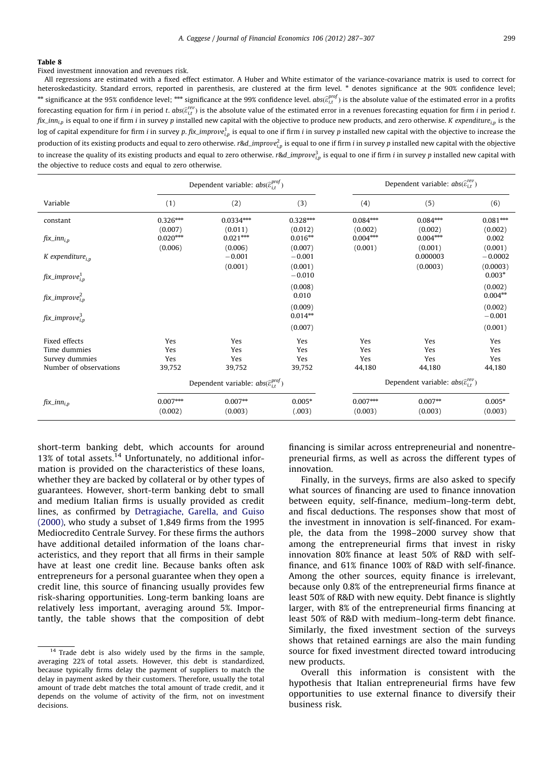<span id="page-12-0"></span>Fixed investment innovation and revenues risk.

All regressions are estimated with a fixed effect estimator. A Huber and White estimator of the variance-covariance matrix is used to correct for heteroskedasticity. Standard errors, reported in parenthesis, are clustered at the firm level. \* denotes significance at the 90% confidence level;  $^{**}$  significance at the 95% confidence level;  $^{***}$  significance at the 99% confidence level.  $abs\hat{c}_{i,t}^{proj}$  is the absolute value of the estimated error in a profits forecasting equation for firm  $i$  in period  $t.$   $abs(\widehat{e}_{i,t}^{rev})$  is the absolute value of the estimated error in a revenues forecasting equation for firm  $i$  in period  $t.$  $fix\_inn_{i,p}$  is equal to one if firm *i* in survey p installed new capital with the objective to produce new products, and zero otherwise. K expenditure<sub>in</sub> is the log of capital expenditure for firm  $i$  in survey p. fix\_improve $_{i,p}^l$  is equal to one if firm  $i$  in survey  $p$  installed new capital with the objective to increase the production of its existing products and equal to zero otherwise. r&d\_improve $\hat{e_{i\rho}}$  is equal to one if firm i in survey  $p$  installed new capital with the objective to increase the quality of its existing products and equal to zero otherwise. r&d\_improve $^3_{l,p}$  is equal to one if firm i in survey p installed new capital with the objective to reduce costs and equal to zero otherwise.

|                                |                                  | Dependent variable: $abs(\widehat{\varepsilon}_{i,t}^{proj})$ |                                 |                                  | Dependent variable: $abs(\hat{\varepsilon}_{i,t}^{rev})$ |                             |
|--------------------------------|----------------------------------|---------------------------------------------------------------|---------------------------------|----------------------------------|----------------------------------------------------------|-----------------------------|
| Variable                       | (1)                              | (2)                                                           | (3)                             | (4)                              | (5)                                                      | (6)                         |
| constant                       | $0.326***$                       | $0.0334***$                                                   | $0.328***$                      | $0.084***$                       | $0.084***$                                               | $0.081***$                  |
| $fix\_inn_{i,p}$               | (0.007)<br>$0.020***$<br>(0.006) | (0.011)<br>$0.021***$<br>(0.006)                              | (0.012)<br>$0.016**$<br>(0.007) | (0.002)<br>$0.004***$<br>(0.001) | (0.002)<br>$0.004***$<br>(0.001)                         | (0.002)<br>0.002<br>(0.001) |
| $K$ expenditure <sub>i.p</sub> |                                  | $-0.001$                                                      | $-0.001$                        |                                  | 0.000003                                                 | $-0.0002$                   |
| $fix\_improve^1_{i,p}$         |                                  | (0.001)                                                       | (0.001)<br>$-0.010$             |                                  | (0.0003)                                                 | (0.0003)<br>$0.003*$        |
| $fix\_improve^2_{i,p}$         |                                  |                                                               | (0.008)<br>0.010                |                                  |                                                          | (0.002)<br>$0.004**$        |
| $fix\_improve^3_{i,p}$         |                                  |                                                               | (0.009)<br>$0.014**$            |                                  |                                                          | (0.002)<br>$-0.001$         |
|                                |                                  |                                                               | (0.007)                         |                                  |                                                          | (0.001)                     |
| Fixed effects                  | Yes                              | Yes                                                           | Yes                             | Yes                              | Yes                                                      | Yes                         |
| Time dummies                   | Yes                              | Yes                                                           | Yes                             | Yes                              | Yes                                                      | Yes                         |
| Survey dummies                 | Yes                              | Yes                                                           | Yes                             | Yes                              | Yes                                                      | Yes                         |
| Number of observations         | 39,752                           | 39,752                                                        | 39,752                          | 44,180                           | 44,180                                                   | 44,180                      |
|                                |                                  | Dependent variable: $abs(\widehat{\varepsilon}^{proj}_{i})$   |                                 |                                  | Dependent variable: $abs(\hat{\varepsilon}_{i,t}^{rev})$ |                             |
| $fix\_inn_{i,p}$               | $0.007***$                       | $0.007**$                                                     | $0.005*$                        | $0.007***$                       | $0.007***$                                               | $0.005*$                    |
|                                | (0.002)                          | (0.003)                                                       | (.003)                          | (0.003)                          | (0.003)                                                  | (0.003)                     |

short-term banking debt, which accounts for around 13% of total assets. $14$  Unfortunately, no additional information is provided on the characteristics of these loans, whether they are backed by collateral or by other types of guarantees. However, short-term banking debt to small and medium Italian firms is usually provided as credit lines, as confirmed by [Detragiache, Garella, and Guiso](#page-20-0) [\(2000\)](#page-20-0), who study a subset of 1,849 firms from the 1995 Mediocredito Centrale Survey. For these firms the authors have additional detailed information of the loans characteristics, and they report that all firms in their sample have at least one credit line. Because banks often ask entrepreneurs for a personal guarantee when they open a credit line, this source of financing usually provides few risk-sharing opportunities. Long-term banking loans are relatively less important, averaging around 5%. Importantly, the table shows that the composition of debt

financing is similar across entrepreneurial and nonentrepreneurial firms, as well as across the different types of innovation.

Finally, in the surveys, firms are also asked to specify what sources of financing are used to finance innovation between equity, self-finance, medium–long-term debt, and fiscal deductions. The responses show that most of the investment in innovation is self-financed. For example, the data from the 1998–2000 survey show that among the entrepreneurial firms that invest in risky innovation 80% finance at least 50% of R&D with selffinance, and 61% finance 100% of R&D with self-finance. Among the other sources, equity finance is irrelevant, because only 0.8% of the entrepreneurial firms finance at least 50% of R&D with new equity. Debt finance is slightly larger, with 8% of the entrepreneurial firms financing at least 50% of R&D with medium–long-term debt finance. Similarly, the fixed investment section of the surveys shows that retained earnings are also the main funding source for fixed investment directed toward introducing new products.

Overall this information is consistent with the hypothesis that Italian entrepreneurial firms have few opportunities to use external finance to diversify their business risk.

<sup>&</sup>lt;sup>14</sup> Trade debt is also widely used by the firms in the sample, averaging 22% of total assets. However, this debt is standardized, because typically firms delay the payment of suppliers to match the delay in payment asked by their customers. Therefore, usually the total amount of trade debt matches the total amount of trade credit, and it depends on the volume of activity of the firm, not on investment decisions.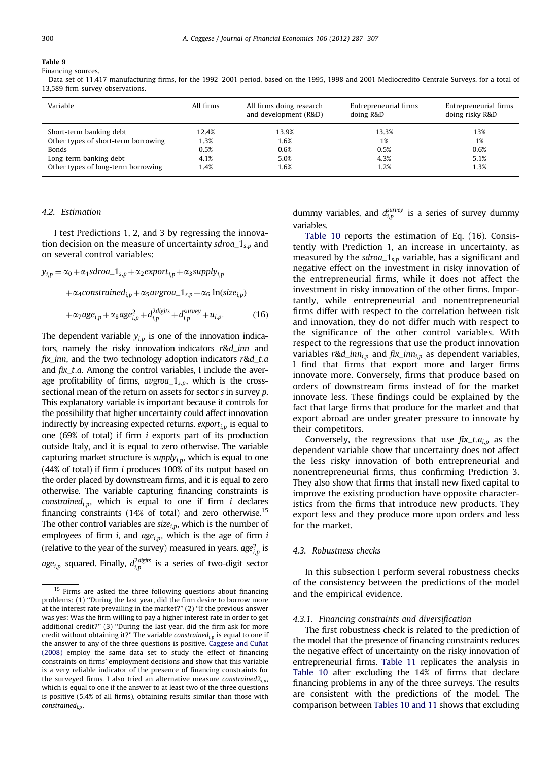<span id="page-13-0"></span>Financing sources.

Data set of 11,417 manufacturing firms, for the 1992–2001 period, based on the 1995, 1998 and 2001 Mediocredito Centrale Surveys, for a total of 13,589 firm-survey observations.

| Variable                            | All firms | All firms doing research<br>and development (R&D) | Entrepreneurial firms<br>doing R&D | Entrepreneurial firms<br>doing risky R&D |
|-------------------------------------|-----------|---------------------------------------------------|------------------------------------|------------------------------------------|
| Short-term banking debt             | 12.4%     | 13.9%                                             | 13.3%                              | 13%                                      |
| Other types of short-term borrowing | 1.3%      | 1.6%                                              | 1%                                 | 1%                                       |
| <b>Bonds</b>                        | 0.5%      | 0.6%                                              | 0.5%                               | 0.6%                                     |
| Long-term banking debt              | 4.1%      | 5.0%                                              | 4.3%                               | 5.1%                                     |
| Other types of long-term borrowing  | 1.4%      | 1.6%                                              | 1.2%                               | 1.3%                                     |

# 4.2. Estimation

I test Predictions 1, 2, and 3 by regressing the innovation decision on the measure of uncertainty  $sdroa_1s_n$  and on several control variables:

$$
y_{i,p} = \alpha_0 + \alpha_1 \text{sdro}a_1_{s,p} + \alpha_2 \text{ex}port_{i,p} + \alpha_3 \text{supply}_{i,p}
$$

$$
+ \alpha_4 \text{constrained}_{i,p} + \alpha_5 \text{augro}a_1_{s,p} + \alpha_6 \text{ In}(\text{size}_{i,p})
$$

$$
+\alpha_7 a g e_{i,p} + \alpha_8 a g e_{i,p}^2 + d_{i,p}^{2 \text{ digits}} + d_{i,p}^{survey} + u_{i,p}.
$$
 (16)

The dependent variable  $y_{i,p}$  is one of the innovation indicators, namely the risky innovation indicators r&d\_inn and fix\_inn, and the two technology adoption indicators  $r \& d_t a$ and  $fix\_t.a$ . Among the control variables, I include the average profitability of firms,  $avgroad_1_{s,p}$ , which is the crosssectional mean of the return on assets for sector s in survey p. This explanatory variable is important because it controls for the possibility that higher uncertainty could affect innovation indirectly by increasing expected returns.  $\epsilon xport_{i,p}$  is equal to one (69% of total) if firm i exports part of its production outside Italy, and it is equal to zero otherwise. The variable capturing market structure is  $supply_{i,p}$ , which is equal to one (44% of total) if firm i produces 100% of its output based on the order placed by downstream firms, and it is equal to zero otherwise. The variable capturing financing constraints is constrained<sub>i,p</sub>, which is equal to one if firm i declares financing constraints (14% of total) and zero otherwise.<sup>15</sup> The other control variables are  $size_{i,p}$ , which is the number of employees of firm i, and  $age_{i,p}$ , which is the age of firm i (relative to the year of the survey) measured in years.  $age_{i,p}^2$  is *age<sub>i,p</sub>* squared. Finally,  $d_{i,p}^{2\text{ digits}}$  is a series of two-digit sector

dummy variables, and  $d_{i,p}^{survey}$  is a series of survey dummy variables.

[Table 10](#page-14-0) reports the estimation of Eq. (16). Consistently with Prediction 1, an increase in uncertainty, as measured by the sdroa $1_{s,p}$  variable, has a significant and negative effect on the investment in risky innovation of the entrepreneurial firms, while it does not affect the investment in risky innovation of the other firms. Importantly, while entrepreneurial and nonentrepreneurial firms differ with respect to the correlation between risk and innovation, they do not differ much with respect to the significance of the other control variables. With respect to the regressions that use the product innovation variables r&d\_inn<sub>i,p</sub> and fix\_inn<sub>i,p</sub> as dependent variables, I find that firms that export more and larger firms innovate more. Conversely, firms that produce based on orders of downstream firms instead of for the market innovate less. These findings could be explained by the fact that large firms that produce for the market and that export abroad are under greater pressure to innovate by their competitors.

Conversely, the regressions that use  $fix\_t.a_{i,p}$  as the dependent variable show that uncertainty does not affect the less risky innovation of both entrepreneurial and nonentrepreneurial firms, thus confirming Prediction 3. They also show that firms that install new fixed capital to improve the existing production have opposite characteristics from the firms that introduce new products. They export less and they produce more upon orders and less for the market.

## 4.3. Robustness checks

In this subsection I perform several robustness checks of the consistency between the predictions of the model and the empirical evidence.

#### 4.3.1. Financing constraints and diversification

The first robustness check is related to the prediction of the model that the presence of financing constraints reduces the negative effect of uncertainty on the risky innovation of entrepreneurial firms. [Table 11](#page-15-0) replicates the analysis in [Table 10](#page-14-0) after excluding the 14% of firms that declare financing problems in any of the three surveys. The results are consistent with the predictions of the model. The comparison between [Tables 10 and 11](#page-15-0) shows that excluding

<sup>&</sup>lt;sup>15</sup> Firms are asked the three following questions about financing problems: (1) ''During the last year, did the firm desire to borrow more at the interest rate prevailing in the market?'' (2) ''If the previous answer was yes: Was the firm willing to pay a higher interest rate in order to get additional credit?'' (3) ''During the last year, did the firm ask for more credit without obtaining it?" The variable constrained $_{i,p}$  is equal to one if the answer to any of the three questions is positive. Caggese and Cuñat [\(2008\)](#page-19-0) employ the same data set to study the effect of financing constraints on firms' employment decisions and show that this variable is a very reliable indicator of the presence of financing constraints for the surveyed firms. I also tried an alternative measure constrained $2_{i,p}$ , which is equal to one if the answer to at least two of the three questions is positive (5.4% of all firms), obtaining results similar than those with constrained<sub>in</sub>.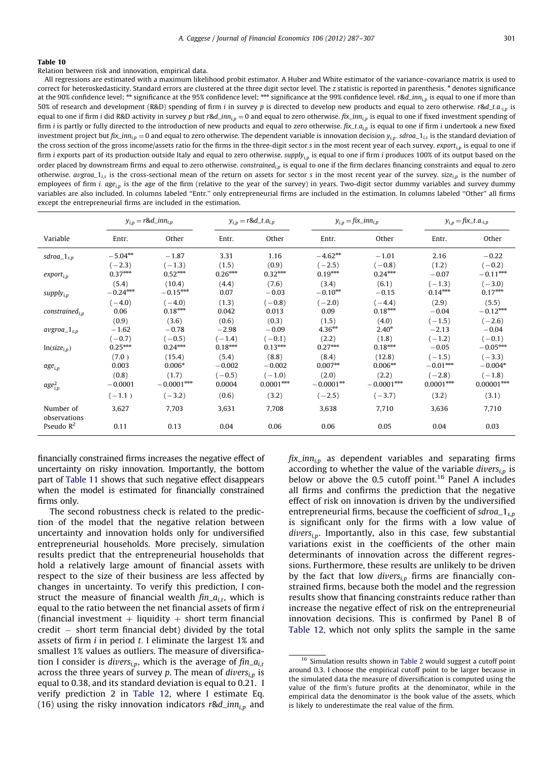<span id="page-14-0"></span>Relation between risk and innovation, empirical data.

All regressions are estimated with a maximum likelihood probit estimator. A Huber and White estimator of the variance–covariance matrix is used to correct for heteroskedasticity. Standard errors are clustered at the three digit sector level. The z statistic is reported in parenthesis. \* denotes significance at the 90% confidence level;  $**$  significance at the 95% confidence level;  $***$  significance at the 99% confidence level. r&d\_inn<sub>i,p</sub> is equal to one if more than 50% of research and development (R&D) spending of firm i in survey p is directed to develop new products and equal to zero otherwise. r&d\_t.a.<sub>i,p</sub> is equal to one if firm i did R&D activity in survey p but r&d\_inn<sub>i,p</sub> = 0 and equal to zero otherwise. fix\_inn<sub>i,p</sub> is equal to one if fixed investment spending of firm *i* is partly or fully directed to the introduction of new products and equal to zero otherwise.  $fix\_t.a_{ip}$  is equal to one if firm *i* undertook a new fixed investment project but fix\_inn<sub>i,p</sub> = 0 and equal to zero otherwise. The dependent variable is innovation decision  $y_{i,p}$ . sdroa\_1<sub>is</sub> is the standard deviation of the cross section of the gross income/assets ratio for the firms in the three-digit sector s in the most recent year of each survey. export $_{i,p}$  is equal to one if firm i exports part of its production outside Italy and equal to zero otherwise. supply<sub>i,p</sub> is equal to one if firm i produces 100% of its output based on the order placed by downstream firms and equal to zero otherwise. constrained<sub>i,p</sub> is equal to one if the firm declares financing constraints and equal to zero otherwise. avgroa<sub>-1is</sub> is the cross-sectional mean of the return on assets for sector s in the most recent year of the survey. size<sub>in</sub> is the number of employees of firm i.  $age_{ip}$  is the age of the firm (relative to the year of the survey) in years. Two-digit sector dummy variables and survey dummy variables are also included. In columns labeled ''Entr.'' only entrepreneurial firms are included in the estimation. In columns labeled ''Other'' all firms except the entrepreneurial firms are included in the estimation.

|                           |            | $y_{i,p} = r \& d\_inn_{i,p}$ |           | $y_{i,p} = r \& d_t.a_{i,p}$ |             | $y_{i,p} = fix\_inn_{i,p}$ |             | $y_{i,p} = f i x_{i} t \cdot a_{i,p}$ |
|---------------------------|------------|-------------------------------|-----------|------------------------------|-------------|----------------------------|-------------|---------------------------------------|
| Variable                  | Entr.      | Other                         | Entr.     | Other                        | Entr.       | Other                      | Entr.       | Other                                 |
| $sdroa_1_{s,p}$           | $-5.04***$ | $-1.87$                       | 3.31      | 1.16                         | $-4.62**$   | $-1.01$                    | 2.16        | $-0.22$                               |
|                           | $(-2.3)$   | $(-1.3)$                      | (1.5)     | (0.9)                        | $(-2.5)$    | $(-0.8)$                   | (1.2)       | $(-0.2)$                              |
| $export_{i,p}$            | $0.37***$  | $0.52***$                     | $0.26***$ | $0.32***$                    | $0.19***$   | $0.24***$                  | $-0.07$     | $-0.11***$                            |
| supply $_{i,p}$           | (5.4)      | (10.4)                        | (4.4)     | (7.6)                        | (3.4)       | (6.1)                      | $(-1.3)$    | $(-3.0)$                              |
|                           | $-0.24***$ | $-0.15***$                    | 0.07      | $-0.03$                      | $-0.10***$  | $-0.15$                    | $0.14***$   | $0.17***$                             |
| $constructed_{i,n}$       | $(-4.0)$   | $(-4.0)$                      | (1.3)     | $(-0.8)$                     | $(-2.0)$    | $(-4.4)$                   | (2.9)       | (5.5)                                 |
|                           | 0.06       | $0.18***$                     | 0.042     | 0.013                        | 0.09        | $0.18***$                  | $-0.04$     | $-0.12***$                            |
| $avgroa_1_{s,p}$          | (0.9)      | (3.6)                         | (0.6)     | (0.3)                        | (1.5)       | (4.0)                      | $(-1.5)$    | $(-2.6)$                              |
|                           | $-1.62$    | $-0.78$                       | $-2.98$   | $-0.09$                      | $4.36***$   | $2.40*$                    | $-2.13$     | $-0.04$                               |
| $ln(size_{i,p})$          | $(-0.7)$   | $(-0.5)$                      | $(-1.4)$  | $(-0.1)$                     | (2.2)       | (1.8)                      | $(-1.2)$    | $(-0.1)$                              |
|                           | $0.25***$  | $0.24***$                     | $0.18***$ | $0.13***$                    | $0.27***$   | $0.18***$                  | $-0.05$     | $-0.05***$                            |
| $age_{i,p}$               | (7.0)      | (15.4)                        | (5.4)     | (8.8)                        | (8.4)       | (12.8)                     | $(-1.5)$    | $(-3.3)$                              |
|                           | 0.003      | $0.006*$                      | $-0.002$  | $-0.002$                     | $0.007**$   | $0.006***$                 | $-0.01***$  | $-0.004*$                             |
| $age_{i,p}^2$             | (0.8)      | (1.7)                         | $(-0.5)$  | $(-1.0)$                     | (2.0)       | (2.2)                      | $(-2.8)$    | $(-1.8)$                              |
|                           | $-0.0001$  | $-0.0001***$                  | 0.0004    | $0.0001***$                  | $-0.0001**$ | $-0.0001***$               | $0.0001***$ | $0.00001***$                          |
|                           | $(-1.1)$   | $(-3.2)$                      | (0.6)     | (3.2)                        | $(-2.5)$    | $(-3.7)$                   | (3.2)       | (3.1)                                 |
| Number of<br>observations | 3,627      | 7,703                         | 3,631     | 7,708                        | 3,638       | 7,710                      | 3,636       | 7,710                                 |
| Pseudo $R^2$              | 0.11       | 0.13                          | 0.04      | 0.06                         | 0.06        | 0.05                       | 0.04        | 0.03                                  |

financially constrained firms increases the negative effect of uncertainty on risky innovation. Importantly, the bottom part of [Table 11](#page-15-0) shows that such negative effect disappears when the model is estimated for financially constrained firms only.

The second robustness check is related to the prediction of the model that the negative relation between uncertainty and innovation holds only for undiversified entrepreneurial households. More precisely, simulation results predict that the entrepreneurial households that hold a relatively large amount of financial assets with respect to the size of their business are less affected by changes in uncertainty. To verify this prediction, I construct the measure of financial wealth  $fin_{i,t}$ , which is equal to the ratio between the net financial assets of firm i (financial investment  $+$  liquidity  $+$  short term financial credit - short term financial debt) divided by the total assets of firm  $i$  in period  $t$ . I eliminate the largest 1% and smallest 1% values as outliers. The measure of diversification I consider is divers<sub>i,p</sub>, which is the average of  $fin_{a_{i,t}}$ across the three years of survey p. The mean of  $divers_{i,p}$  is equal to 0.38, and its standard deviation is equal to 0.21. I verify prediction 2 in [Table 12](#page-16-0), where I estimate Eq. (16) using the risky innovation indicators r&d\_inn<sub>i,p</sub> and

 $fix\_inn_{i,p}$  as dependent variables and separating firms according to whether the value of the variable divers<sub>in</sub> is below or above the 0.5 cutoff point.<sup>16</sup> Panel A includes all firms and confirms the prediction that the negative effect of risk on innovation is driven by the undiversified entrepreneurial firms, because the coefficient of  $sdroa_1<sub>s,p</sub>$ is significant only for the firms with a low value of  $divers_{i,p}$ . Importantly, also in this case, few substantial variations exist in the coefficients of the other main determinants of innovation across the different regressions. Furthermore, these results are unlikely to be driven by the fact that low divers<sub>i,p</sub> firms are financially constrained firms, because both the model and the regression results show that financing constraints reduce rather than increase the negative effect of risk on the entrepreneurial innovation decisions. This is confirmed by Panel B of [Table 12,](#page-16-0) which not only splits the sample in the same

<sup>16</sup> Simulation results shown in [Table 2](#page-6-0) would suggest a cutoff point around 0.3. I choose the empirical cutoff point to be larger because in the simulated data the measure of diversification is computed using the value of the firm's future profits at the denominator, while in the empirical data the denominator is the book value of the assets, which is likely to underestimate the real value of the firm.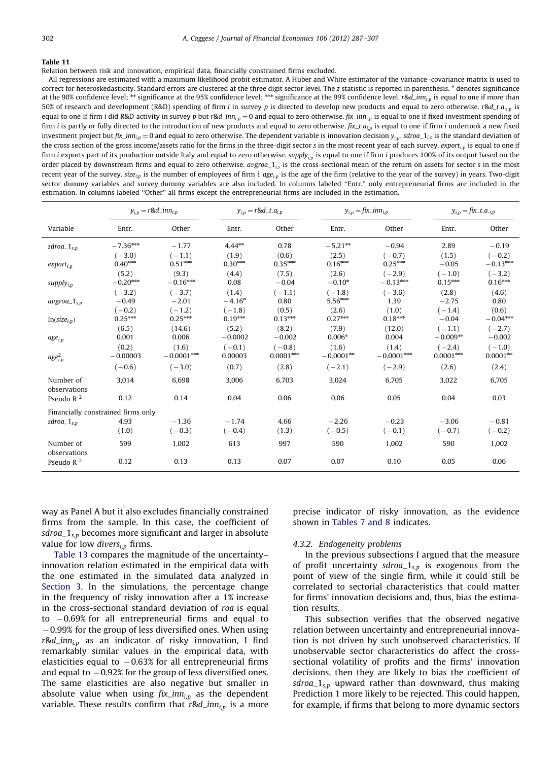<span id="page-15-0"></span>Relation between risk and innovation, empirical data, financially constrained firms excluded.

All regressions are estimated with a maximum likelihood probit estimator. A Huber and White estimator of the variance–covariance matrix is used to correct for heteroskedasticity. Standard errors are clustered at the three digit sector level. The z statistic is reported in parenthesis. \* denotes significance at the 90% confidence level; \*\* significance at the 95% confidence level; \*\*\* significance at the 99% confidence level. r&d\_inn<sub>i,p</sub> is equal to one if more than 50% of research and development (R&D) spending of firm i in survey p is directed to develop new products and equal to zero otherwise. r&d\_t.a.<sub>i,p</sub> is equal to one if firm *i* did R&D activity in survey p but r&d\_inn<sub>i,p</sub> = 0 and equal to zero otherwise. fix\_inn<sub>i,p</sub> is equal to one if fixed investment spending of firm i is partly or fully directed to the introduction of new products and equal to zero otherwise.  $fix\_t.a_{ip}$  is equal to one if firm i undertook a new fixed investment project but  $fix\_inn_{i,p} = 0$  and equal to zero otherwise. The dependent variable is innovation decision  $y_{i,p}$ . sdroa $_1_{i,s}$  is the standard deviation of the cross section of the gross income/assets ratio for the firms in the three-digit sector s in the most recent year of each survey. export<sub>in</sub> is equal to one if firm i exports part of its production outside Italy and equal to zero otherwise. supply<sub>in</sub> is equal to one if firm i produces 100% of its output based on the order placed by downstream firms and equal to zero otherwise.  $avgroa_1_{is}$  is the cross-sectional mean of the return on assets for sector s in the most recent year of the survey. size<sub>i,p</sub> is the number of employees of firm i.  $age_{i,p}$  is the age of the firm (relative to the year of the survey) in years. Two-digit sector dummy variables and survey dummy variables are also included. In columns labeled ''Entr.'' only entrepreneurial firms are included in the estimation. In columns labeled ''Other'' all firms except the entrepreneurial firms are included in the estimation.

|                                    |                                                      | $y_{i,p} = r \& d\_inn_{i,p}$ |                                | $y_{i,p} = r \& d_t a_{i,p}$<br>$y_{i,p} = fix\_inn_{i,p}$<br>$y_{i,p} = f\hat{i}x_{i}$ .a. <sub>i,p</sub> |                            |                          |                                    |                                  |
|------------------------------------|------------------------------------------------------|-------------------------------|--------------------------------|------------------------------------------------------------------------------------------------------------|----------------------------|--------------------------|------------------------------------|----------------------------------|
| Variable                           | Entr.                                                | Other                         | Entr.                          | Other                                                                                                      | Entr.                      | Other                    | Entr.                              | Other                            |
| $sdroa_1_{s,p}$                    | $-7.36^{\mbox{\tiny k}\mbox{\tiny k}\mbox{\tiny k}}$ | $-1.77$                       | $4.44***$                      | 0.78                                                                                                       | $-5.21***$                 | $-0.94$                  | 2.89                               | $-0.19$                          |
| $export_{i,n}$                     | $(-3.0)$<br>$0.40***$                                | $(-1.1)$<br>$0.51***$         | (1.9)<br>$0.30***$             | (0.6)<br>$0.35***$                                                                                         | (2.5)<br>$0.16***$         | $(-0.7)$<br>$0.25***$    | (1.5)<br>$-0.05$                   | $(-0.2)$<br>$-0.13***$           |
| supply <sub>i.p</sub>              | (5.2)<br>$-0.20***$                                  | (9.3)<br>$-0.16***$           | (4.4)<br>0.08                  | (7.5)<br>$-0.04$                                                                                           | (2.6)<br>$-0.10*$          | $(-2.9)$<br>$-0.13***$   | $(-1.0)$<br>$0.15***$              | $(-3.2)$<br>$0.16***$            |
| $avgroa_1_{s,p}$                   | $(-3.2)$<br>$-0.49$                                  | $(-3.7)$<br>$-2.01$           | (1.4)<br>$-4.16*$              | $(-1.1)$<br>0.80                                                                                           | $(-1.8)$<br>5.56***        | $(-3.6)$<br>1.39         | (2.8)<br>$-2.75$                   | (4.6)<br>0.80                    |
| $ln(size_{i,p})$                   | $(-0.2)$<br>$0.25***$                                | $(-1.2)$<br>$0.25***$         | $(-1.8)$<br>$0.19***$          | (0.5)<br>$0.13***$                                                                                         | (2.6)<br>$0.27***$         | (1.0)<br>$0.18***$       | $(-1.4)$<br>$-0.04$                | (0.6)<br>$-0.04***$              |
| $age_{i,p}$                        | (6.5)<br>0.001<br>(0.2)                              | (14.6)<br>0.006<br>(1.6)      | (5.2)<br>$-0.0002$<br>$(-0.1)$ | (8.2)<br>$-0.002$<br>$(-0.8)$                                                                              | (7.9)<br>$0.006*$<br>(1.6) | (12.0)<br>0.004<br>(1.4) | $(-1.1)$<br>$-0.009**$<br>$(-2.4)$ | $(-2.7)$<br>$-0.002$<br>$(-1.0)$ |
| $age_{i,p}^2$                      | $-0.00003$                                           | $-0.0001***$                  | 0.00003                        | $0.0001***$                                                                                                | $-0.0001**$                | $-0.0001***$             | $0.0001***$                        | $0.0001***$                      |
|                                    | $(-0.6)$                                             | $(-3.0)$                      | (0.7)                          | (2.8)                                                                                                      | $(-2.1)$                   | $(-2.9)$                 | (2.6)                              | (2.4)                            |
| Number of<br>observations          | 3,014                                                | 6,698                         | 3,006                          | 6,703                                                                                                      | 3,024                      | 6,705                    | 3,022                              | 6,705                            |
| Pseudo $R^2$                       | 0.12                                                 | 0.14                          | 0.04                           | 0.06                                                                                                       | 0.06                       | 0.05                     | 0.04                               | 0.03                             |
| Financially constrained firms only |                                                      |                               |                                |                                                                                                            |                            |                          |                                    |                                  |
| $sdroa_1_{s,n}$                    | 4.93<br>(1.0)                                        | $-1.36$<br>$(-0.3)$           | $-1.74$<br>$(-0.4)$            | 4.66<br>(1.3)                                                                                              | $-2.26$<br>$(-0.5)$        | $-0.23$<br>$(-0.1)$      | $-3.06$<br>$(-0.7)$                | $-0.81$<br>$(-0.2)$              |
| Number of<br>observations          | 599                                                  | 1,002                         | 613                            | 997                                                                                                        | 590                        | 1,002                    | 590                                | 1,002                            |
| Pseudo $R^2$                       | 0.12                                                 | 0.13                          | 0.13                           | 0.07                                                                                                       | 0.07                       | 0.10                     | 0.05                               | 0.06                             |

way as Panel A but it also excludes financially constrained firms from the sample. In this case, the coefficient of sdroa<sub> $-1<sub>s,p</sub>$  becomes more significant and larger in absolute</sub> value for low  $divers_{i,p}$  firms.

[Table 13](#page-16-0) compares the magnitude of the uncertainty– innovation relation estimated in the empirical data with the one estimated in the simulated data analyzed in [Section 3.](#page-3-0) In the simulations, the percentage change in the frequency of risky innovation after a 1% increase in the cross-sectional standard deviation of roa is equal to -0.69% for all entrepreneurial firms and equal to -0.99% for the group of less diversified ones. When using  $r$ &d\_inn<sub>i,p</sub> as an indicator of risky innovation, I find remarkably similar values in the empirical data, with elasticities equal to  $-0.63\%$  for all entrepreneurial firms and equal to  $-0.92\%$  for the group of less diversified ones. The same elasticities are also negative but smaller in absolute value when using  $fix\_inn_{i,p}$  as the dependent variable. These results confirm that  $r \& d_{i,p}$  is a more

precise indicator of risky innovation, as the evidence shown in [Tables 7 and 8](#page-11-0) indicates.

## 4.3.2. Endogeneity problems

In the previous subsections I argued that the measure of profit uncertainty sdroa<sub> $-1s,p$ </sub> is exogenous from the point of view of the single firm, while it could still be correlated to sectorial characteristics that could matter for firms' innovation decisions and, thus, bias the estimation results.

This subsection verifies that the observed negative relation between uncertainty and entrepreneurial innovation is not driven by such unobserved characteristics. If unobservable sector characteristics do affect the crosssectional volatility of profits and the firms' innovation decisions, then they are likely to bias the coefficient of sdroa<sub> $-1s,p$ </sub> upward rather than downward, thus making Prediction 1 more likely to be rejected. This could happen, for example, if firms that belong to more dynamic sectors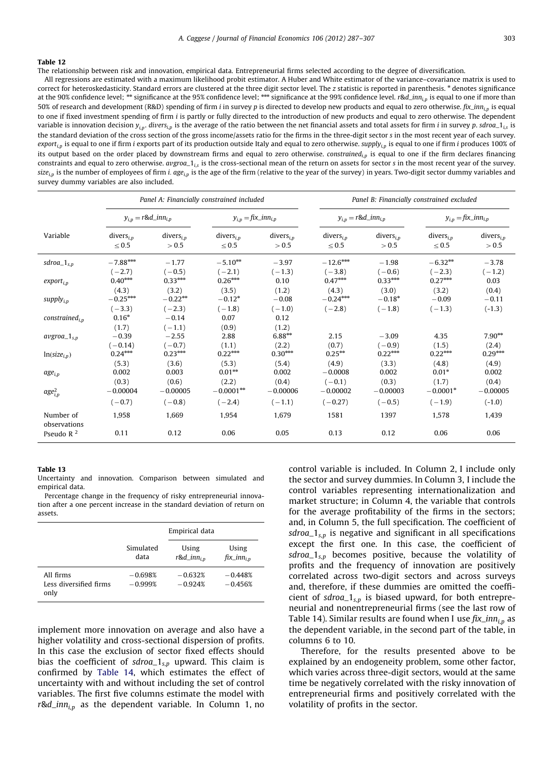<span id="page-16-0"></span>The relationship between risk and innovation, empirical data. Entrepreneurial firms selected according to the degree of diversification.

All regressions are estimated with a maximum likelihood probit estimator. A Huber and White estimator of the variance–covariance matrix is used to correct for heteroskedasticity. Standard errors are clustered at the three digit sector level. The z statistic is reported in parenthesis. \* denotes significance at the 90% confidence level; \*\* significance at the 95% confidence level; \*\*\* significance at the 99% confidence level. r&d\_inn<sub>i,p</sub> is equal to one if more than 50% of research and development (R&D) spending of firm *i* in survey p is directed to develop new products and equal to zero otherwise. fix\_inn<sub>i,p</sub> is equal to one if fixed investment spending of firm *i* is partly or fully directed to the introduction of new products and equal to zero otherwise. The dependent variable is innovation decision  $y_{i,p}$ . divers<sub>ip</sub> is the average of the ratio between the net financial assets and total assets for firm *i* in survey p. sdroa\_1<sub>is</sub> is the standard deviation of the cross section of the gross income/assets ratio for the firms in the three-digit sector s in the most recent year of each survey. export<sub>i,p</sub> is equal to one if firm i exports part of its production outside Italy and equal to zero otherwise. supply<sub>i,p</sub> is equal to one if firm i produces 100% of its output based on the order placed by downstream firms and equal to zero otherwise. constrained $_{i,p}$  is equal to one if the firm declares financing constraints and equal to zero otherwise.  $avgro_1_{is}$  is the cross-sectional mean of the return on assets for sector s in the most recent year of the survey. size<sub>i,p</sub> is the number of employees of firm i. age<sub>i,p</sub> is the age of the firm (relative to the year of the survey) in years. Two-digit sector dummy variables and survey dummy variables are also included.

|                                                | Panel A: Financially constrained included |                                |                            |                            | Panel B: Financially constrained excluded |                       |                            |                |
|------------------------------------------------|-------------------------------------------|--------------------------------|----------------------------|----------------------------|-------------------------------------------|-----------------------|----------------------------|----------------|
|                                                | $y_{i,p} = r \& d\_inn_{i,p}$             |                                | $y_{i,p} = fix\_inn_{i,p}$ |                            | $y_{i,p} = r \& d\_inn_{i,p}$             |                       | $y_{i,p} = fix\_inn_{i,p}$ |                |
| Variable                                       | $divers_{i,p}$                            | $divers_{i,p}$                 | $divers_{i,p}$             | $divers_{i,p}$             | $divers_{i,p}$                            | divers <sub>i,n</sub> | $divers_{i,p}$             | $divers_{i,p}$ |
|                                                | $\leq 0.5$                                | > 0.5                          | $\leq 0.5$                 | > 0.5                      | $\leq 0.5$                                | > 0.5                 | $\leq 0.5$                 | > 0.5          |
| $sdroa_1_{s,p}$                                | $-7.88***$                                | $-1.77$                        | $-5.10***$                 | $-3.97$                    | $-12.6***$                                | $-1.98$               | $-6.32**$                  | $-3.78$        |
|                                                | $(-2.7)$                                  | $(-0.5)$                       | $(-2.1)$                   | $(-1.3)$                   | $(-3.8)$                                  | $(-0.6)$              | $(-2.3)$                   | $(-1.2)$       |
| $export_{i,p}$                                 | $0.40***$                                 | $0.33***$                      | $0.26***$                  | 0.10                       | $0.47***$                                 | $0.33***$             | $0.27***$                  | 0.03           |
|                                                | (4.3)                                     | (3.2)                          | (3.5)                      | (1.2)                      | (4.3)                                     | (3.0)                 | (3.2)                      | (0.4)          |
| $supply_{i,p}$                                 | $-0.25***$                                | $-0.22**$                      | $-0.12*$                   | $-0.08$                    | $-0.24***$                                | $-0.18*$              | $-0.09$                    | $-0.11$        |
|                                                | $(-3.3)$                                  | $(-2.3)$                       | $(-1.8)$                   | $(-1.0)$                   | $(-2.8)$                                  | $(-1.8)$              | $(-1.3)$                   | $(-1.3)$       |
| constructed <sub>i,n</sub><br>$avgroa_1_{s,p}$ | $0.16*$<br>(1.7)<br>$-0.39$               | $-0.14$<br>$(-1.1)$<br>$-2.55$ | 0.07<br>(0.9)<br>2.88      | 0.12<br>(1.2)<br>$6.88***$ | 2.15                                      | $-3.09$               | 4.35                       | $7.90**$       |
| $ln(size_{i,p})$                               | $(-0.14)$                                 | $(-0.7)$                       | (1.1)                      | (2.2)                      | (0.7)                                     | $(-0.9)$              | (1.5)                      | (2.4)          |
|                                                | $0.24***$                                 | $0.23***$                      | $0.22***$                  | $0.30***$                  | $0.25***$                                 | $0.22***$             | $0.22***$                  | $0.29***$      |
| $age_{i,p}$                                    | (5.3)                                     | (3.6)                          | (5.3)                      | (5.4)                      | (4.9)                                     | (3.3)                 | (4.8)                      | (4.9)          |
|                                                | 0.002                                     | 0.003                          | $0.01**$                   | 0.002                      | $-0.0008$                                 | 0.002                 | $0.01*$                    | 0.002          |
| $age_{i,p}^2$                                  | (0.3)                                     | (0.6)                          | (2.2)                      | (0.4)                      | $(-0.1)$                                  | (0.3)                 | (1.7)                      | (0.4)          |
|                                                | $-0.00004$                                | $-0.00005$                     | $-0.0001**$                | $-0.00006$                 | $-0.00002$                                | $-0.00003$            | $-0.0001*$                 | $-0.00005$     |
|                                                | $(-0.7)$                                  | $(-0.8)$                       | $(-2.4)$                   | $(-1.1)$                   | $(-0.27)$                                 | $(-0.5)$              | $(-1.9)$                   | $(-1.0)$       |
| Number of<br>observations                      | 1,958                                     | 1,669                          | 1,954                      | 1,679                      | 1581                                      | 1397                  | 1,578                      | 1,439          |
| Pseudo $R2$                                    | 0.11                                      | 0.12                           | 0.06                       | 0.05                       | 0.13                                      | 0.12                  | 0.06                       | 0.06           |

#### Table 13

Uncertainty and innovation. Comparison between simulated and empirical data.

Percentage change in the frequency of risky entrepreneurial innovation after a one percent increase in the standard deviation of return on assets.

|                                             |                        | Empirical data                    |                                 |
|---------------------------------------------|------------------------|-----------------------------------|---------------------------------|
|                                             | Simulated<br>data      | Using<br>$r$ &d_inn <sub>in</sub> | Using<br>fix_inn <sub>i.p</sub> |
| All firms<br>Less diversified firms<br>only | $-0.698%$<br>$-0.999%$ | $-0.632%$<br>$-0.924%$            | $-0.448%$<br>$-0.456%$          |

implement more innovation on average and also have a higher volatility and cross-sectional dispersion of profits. In this case the exclusion of sector fixed effects should bias the coefficient of sdroa<sub> $1<sub>s,p</sub>$  upward. This claim is</sub> confirmed by [Table 14](#page-17-0), which estimates the effect of uncertainty with and without including the set of control variables. The first five columns estimate the model with  $r$ &d\_inn<sub>i,p</sub> as the dependent variable. In Column 1, no

control variable is included. In Column 2, I include only the sector and survey dummies. In Column 3, I include the control variables representing internationalization and market structure; in Column 4, the variable that controls for the average profitability of the firms in the sectors; and, in Column 5, the full specification. The coefficient of  $sdroa_1<sub>s,p</sub>$  is negative and significant in all specifications except the first one. In this case, the coefficient of sdroa<sub> $-1<sub>s,p</sub>$  becomes positive, because the volatility of</sub> profits and the frequency of innovation are positively correlated across two-digit sectors and across surveys and, therefore, if these dummies are omitted the coefficient of sdroa<sub> $-1<sub>s,p</sub>$  is biased upward, for both entrepre-</sub> neurial and nonentrepreneurial firms (see the last row of Table 14). Similar results are found when I use  $fix\_inn_{in}$  as the dependent variable, in the second part of the table, in columns 6 to 10.

Therefore, for the results presented above to be explained by an endogeneity problem, some other factor, which varies across three-digit sectors, would at the same time be negatively correlated with the risky innovation of entrepreneurial firms and positively correlated with the volatility of profits in the sector.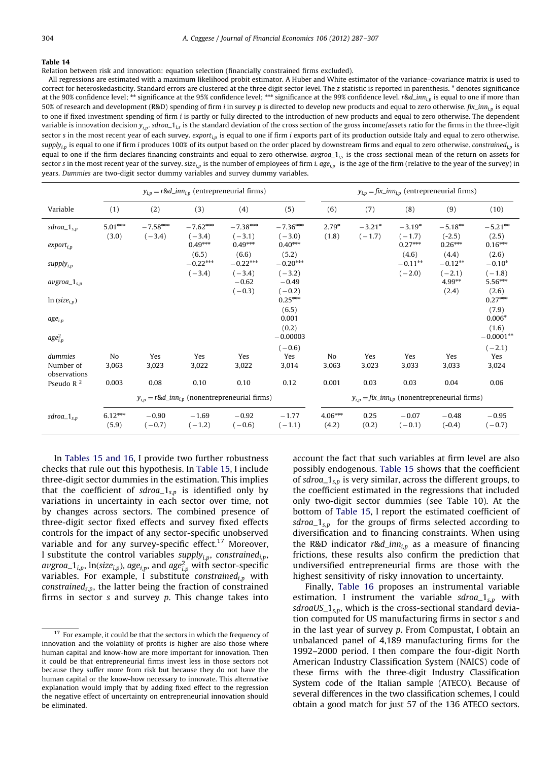<span id="page-17-0"></span>Relation between risk and innovation: equation selection (financially constrained firms excluded).

All regressions are estimated with a maximum likelihood probit estimator. A Huber and White estimator of the variance–covariance matrix is used to correct for heteroskedasticity. Standard errors are clustered at the three digit sector level. The z statistic is reported in parenthesis. \* denotes significance at the 90% confidence level; \*\* significance at the 95% confidence level; \*\*\* significance at the 99% confidence level. r&d\_inn<sub>i,p</sub> is equal to one if more than 50% of research and development (R&D) spending of firm i in survey p is directed to develop new products and equal to zero otherwise.  $fix\_inn_{i,p}$  is equal to one if fixed investment spending of firm *i* is partly or fully directed to the introduction of new products and equal to zero otherwise. The dependent variable is innovation decision  $y_{i,p}$ . sdroa $\Delta t_{i,s}$  is the standard deviation of the cross section of the gross income/assets ratio for the firms in the three-digit sector s in the most recent year of each survey. export<sub>i,p</sub> is equal to one if firm i exports part of its production outside Italy and equal to zero otherwise. supply<sub>in</sub> is equal to one if firm i produces 100% of its output based on the order placed by downstream firms and equal to zero otherwise. constrained<sub>in</sub> is equal to one if the firm declares financing constraints and equal to zero otherwise.  $\arg r \cdot a_1$ , is the cross-sectional mean of the return on assets for sector s in the most recent year of the survey. size<sub>i,p</sub> is the number of employees of firm i.  $age_{ip}$  is the age of the firm (relative to the year of the survey) in years. Dummies are two-digit sector dummy variables and survey dummy variables.

|                           |                                                          | $y_{i,p} = r \& d_i$ <i>nn</i> <sub>i,p</sub> (entrepreneurial firms) |                        |                                 |                                                       |                    | $y_{i,p} = f\hat{i}x\_inn_{i,p}$ (entrepreneurial firms) |                      |                                |                              |
|---------------------------|----------------------------------------------------------|-----------------------------------------------------------------------|------------------------|---------------------------------|-------------------------------------------------------|--------------------|----------------------------------------------------------|----------------------|--------------------------------|------------------------------|
| Variable                  | (1)                                                      | (2)                                                                   | (3)                    | (4)                             | (5)                                                   | (6)                | (7)                                                      | (8)                  | (9)                            | (10)                         |
| $sdroa_1_{s,p}$           | $5.01***$<br>(3.0)                                       | $-7.58***$<br>$(-3.4)$                                                | $-7.62***$<br>$(-3.4)$ | $-7.38***$<br>$(-3.1)$          | $-7.36***$<br>$(-3.0)$                                | $2.79*$<br>(1.8)   | $-3.21*$<br>$(-1.7)$                                     | $-3.19*$<br>$(-1.7)$ | $-5.18***$<br>$(-2.5)$         | $-5.21***$<br>(2.5)          |
| $export_{i,p}$            |                                                          |                                                                       | $0.49***$              | $0.49***$                       | $0.40***$                                             |                    |                                                          | $0.27***$            | $0.26***$                      | $0.16***$                    |
| supply $_{i,p}$           |                                                          |                                                                       | (6.5)<br>$-0.22***$    | (6.6)<br>$-0.22***$             | (5.2)<br>$-0.20***$                                   |                    |                                                          | (4.6)<br>$-0.11***$  | (4.4)<br>$-0.12**$             | (2.6)<br>$-0.10*$            |
| $avgroa_1_{s,p}$          |                                                          |                                                                       | $(-3.4)$               | $(-3.4)$<br>$-0.62$<br>$(-0.3)$ | $(-3.2)$<br>$-0.49$<br>$(-0.2)$                       |                    |                                                          | $(-2.0)$             | $(-2.1)$<br>$4.99***$<br>(2.4) | $(-1.8)$<br>5.56***<br>(2.6) |
| $ln (size_{i,p})$         |                                                          |                                                                       |                        |                                 | $0.25***$<br>(6.5)                                    |                    |                                                          |                      |                                | $0.27***$<br>(7.9)           |
| $age_{i,p}$               |                                                          |                                                                       |                        |                                 | 0.001                                                 |                    |                                                          |                      |                                | $0.006*$                     |
| $age_{i,p}^2$             |                                                          |                                                                       |                        |                                 | (0.2)<br>$-0.00003$                                   |                    |                                                          |                      |                                | (1.6)<br>$-0.0001**$         |
|                           |                                                          |                                                                       |                        |                                 | $(-0.6)$                                              |                    |                                                          |                      |                                | $(-2.1)$                     |
| dummies                   | No                                                       | Yes                                                                   | Yes                    | Yes                             | Yes                                                   | No                 | Yes                                                      | Yes                  | Yes                            | Yes                          |
| Number of<br>observations | 3,063                                                    | 3,023                                                                 | 3,022                  | 3,022                           | 3,014                                                 | 3,063              | 3,023                                                    | 3,033                | 3,033                          | 3,024                        |
| Pseudo $R2$               | 0.003                                                    | 0.08                                                                  | 0.10                   | 0.10                            | 0.12                                                  | 0.001              | 0.03                                                     | 0.03                 | 0.04                           | 0.06                         |
|                           | $y_{i,p} = r \& d\_inn_{i,p}$ (nonentrepreneurial firms) |                                                                       |                        |                                 | $y_{i,p} = fix\_inn_{i,p}$ (nonentrepreneurial firms) |                    |                                                          |                      |                                |                              |
| $sdroa_1_{s,p}$           | $6.12***$<br>(5.9)                                       | $-0.90$<br>$(-0.7)$                                                   | $-1.69$<br>$(-1.2)$    | $-0.92$<br>$(-0.6)$             | $-1.77$<br>$(-1.1)$                                   | $4.06***$<br>(4.2) | 0.25<br>(0.2)                                            | $-0.07$<br>$(-0.1)$  | $-0.48$<br>$(-0.4)$            | $-0.95$<br>$(-0.7)$          |

In [Tables 15 and 16](#page-18-0), I provide two further robustness checks that rule out this hypothesis. In [Table 15,](#page-18-0) I include three-digit sector dummies in the estimation. This implies that the coefficient of  $sdroa_1s,p$  is identified only by variations in uncertainty in each sector over time, not by changes across sectors. The combined presence of three-digit sector fixed effects and survey fixed effects controls for the impact of any sector-specific unobserved variable and for any survey-specific effect.<sup>17</sup> Moreover, I substitute the control variables supply<sub>i,p</sub>, constrained<sub>i,p</sub>, *avgroa*\_1<sub>*i,p*</sub>, ln(*size<sub>i,p</sub>*), *age<sub>i,p</sub>*, and *age*<sup>2</sup><sub>*i,p*</sub> with sector-specific variables. For example, I substitute constrained<sub>i,p</sub> with constrained<sub>s,p</sub>, the latter being the fraction of constrained firms in sector  $s$  and survey  $p$ . This change takes into

account the fact that such variables at firm level are also possibly endogenous. [Table 15](#page-18-0) shows that the coefficient of sdroa<sub> $-1_{s,p}$ </sub> is very similar, across the different groups, to the coefficient estimated in the regressions that included only two-digit sector dummies (see Table 10). At the bottom of [Table 15,](#page-18-0) I report the estimated coefficient of sdroa<sub> $-1<sub>s,p</sub>$  for the groups of firms selected according to</sub> diversification and to financing constraints. When using the R&D indicator  $r \& d_{1} \rightarrow n_{i,p}$  as a measure of financing frictions, these results also confirm the prediction that undiversified entrepreneurial firms are those with the highest sensitivity of risky innovation to uncertainty.

Finally, [Table 16](#page-19-0) proposes an instrumental variable estimation. I instrument the variable sdroa<sub>-1s,p</sub> with sdroaUS<sub>-1s,p</sub>, which is the cross-sectional standard deviation computed for US manufacturing firms in sector s and in the last year of survey p. From Compustat, I obtain an unbalanced panel of 4,189 manufacturing firms for the 1992–2000 period. I then compare the four-digit North American Industry Classification System (NAICS) code of these firms with the three-digit Industry Classification System code of the Italian sample (ATECO). Because of several differences in the two classification schemes, I could obtain a good match for just 57 of the 136 ATECO sectors.

 $17$  For example, it could be that the sectors in which the frequency of innovation and the volatility of profits is higher are also those where human capital and know-how are more important for innovation. Then it could be that entrepreneurial firms invest less in those sectors not because they suffer more from risk but because they do not have the human capital or the know-how necessary to innovate. This alternative explanation would imply that by adding fixed effect to the regression the negative effect of uncertainty on entrepreneurial innovation should be eliminated.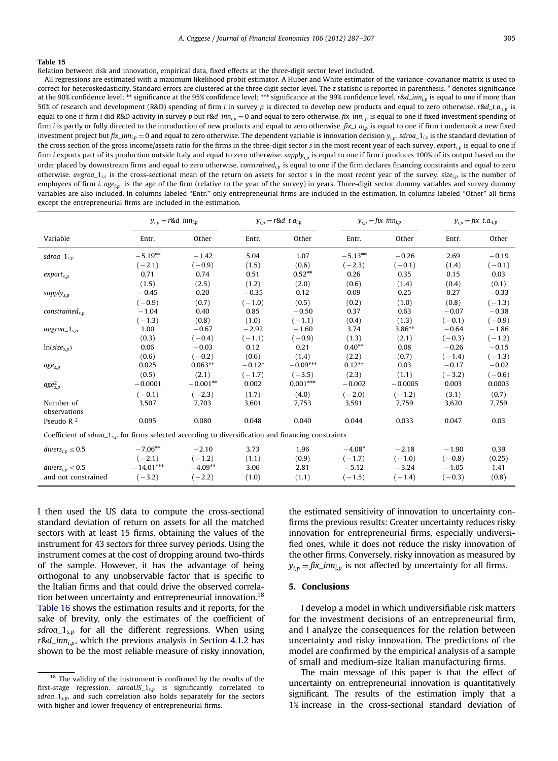<span id="page-18-0"></span>Relation between risk and innovation, empirical data, fixed effects at the three-digit sector level included.

All regressions are estimated with a maximum likelihood probit estimator. A Huber and White estimator of the variance–covariance matrix is used to correct for heteroskedasticity. Standard errors are clustered at the three digit sector level. The z statistic is reported in parenthesis. \* denotes significance at the 90% confidence level;  $**$  significance at the 95% confidence level;  $***$  significance at the 99% confidence level. r&d\_inn<sub>i,p</sub> is equal to one if more than 50% of research and development (R&D) spending of firm i in survey p is directed to develop new products and equal to zero otherwise. r&d\_t.a.<sub>i,p</sub> is equal to one if firm i did R&D activity in survey p but r&d\_inn<sub>i,p</sub> = 0 and equal to zero otherwise.  $fix\_inn_{i,p}$  is equal to one if fixed investment spending of firm *i* is partly or fully directed to the introduction of new products and equal to zero otherwise.  $fix\_t.a_{ip}$  is equal to one if firm *i* undertook a new fixed investment project but  $fix\_inn_{i,p} = 0$  and equal to zero otherwise. The dependent variable is innovation decision  $y_{i,p}$ . sdroa $_1_{is}$  is the standard deviation of the cross section of the gross income/assets ratio for the firms in the three-digit sector s in the most recent year of each survey. export $_{i,p}$  is equal to one if firm i exports part of its production outside Italy and equal to zero otherwise. supply<sub>in</sub> is equal to one if firm i produces 100% of its output based on the order placed by downstream firms and equal to zero otherwise. constrained<sub>i,p</sub> is equal to one if the firm declares financing constraints and equal to zero otherwise. avgroa<sub>-1is</sub> is the cross-sectional mean of the return on assets for sector s in the most recent year of the survey. size<sub>in</sub> is the number of employees of firm i.  $age_{i,p}$  is the age of the firm (relative to the year of the survey) in years. Three-digit sector dummy variables and survey dummy variables are also included. In columns labeled ''Entr.'' only entrepreneurial firms are included in the estimation. In columns labeled ''Other'' all firms except the entrepreneurial firms are included in the estimation.

|                                                                                                       | $y_{i,p} = r \& d\_inn_{i,p}$ |             |          | $y_{i,p} = r \& d_t a_{i,p}$<br>$y_{i,p} = fix\_inn_{i,p}$ |           |           |          | $y_{i,p} = f\hat{i}x_{i}$ .a. <sub>i,p</sub> |  |
|-------------------------------------------------------------------------------------------------------|-------------------------------|-------------|----------|------------------------------------------------------------|-----------|-----------|----------|----------------------------------------------|--|
| Variable                                                                                              | Entr.                         | Other       | Entr.    | Other                                                      | Entr.     | Other     | Entr.    | Other                                        |  |
| $sdroa_1_{s,p}$                                                                                       | $-5.19***$                    | $-1.42$     | 5.04     | 1.07                                                       | $-5.13**$ | $-0.26$   | 2.69     | $-0.19$                                      |  |
|                                                                                                       | $(-2.1)$                      | $(-0.9)$    | (1.5)    | (0.6)                                                      | $(-2.3)$  | $(-0.1)$  | (1.4)    | $(-0.1)$                                     |  |
| $export_{s,p}$                                                                                        | 0.71                          | 0.74        | 0.51     | $0.52**$                                                   | 0.26      | 0.35      | 0.15     | 0.03                                         |  |
|                                                                                                       | (1.5)                         | (2.5)       | (1.2)    | (2.0)                                                      | (0.6)     | (1.4)     | (0.4)    | (0.1)                                        |  |
| $supply_{s,p}$                                                                                        | $-0.45$                       | 0.20        | $-0.35$  | 0.12                                                       | 0.09      | 0.25      | 0.27     | $-0.33$                                      |  |
|                                                                                                       | $(-0.9)$                      | (0.7)       | $(-1.0)$ | (0.5)                                                      | (0.2)     | (1.0)     | (0.8)    | $(-1.3)$                                     |  |
| constrained <sub>s.p</sub>                                                                            | $-1.04$                       | 0.40        | 0.85     | $-0.50$                                                    | 0.37      | 0.63      | $-0.07$  | $-0.38$                                      |  |
|                                                                                                       | $(-1.3)$                      | (0.8)       | (1.0)    | $(-1.1)$                                                   | (0.4)     | (1.3)     | $(-0.1)$ | $(-0.9)$                                     |  |
| $avgroa_1_{s,p}$                                                                                      | 1.00                          | $-0.67$     | $-2.92$  | $-1.60$                                                    | 3.74      | $3.86***$ | $-0.64$  | $-1.86$                                      |  |
|                                                                                                       | (0.3)                         | $(-0.4)$    | $(-1.1)$ | $(-0.9)$                                                   | (1.3)     | (2.1)     | $(-0.3)$ | $(-1.2)$                                     |  |
| $ln(size_{s,p})$                                                                                      | 0.06                          | $-0.03$     | 0.12     | 0.21                                                       | $0.40**$  | 0.08      | $-0.26$  | $-0.15$                                      |  |
|                                                                                                       | (0.6)                         | $(-0.2)$    | (0.6)    | (1.4)                                                      | (2.2)     | (0.7)     | $(-1.4)$ | $(-1.3)$                                     |  |
| $age_{s,p}$                                                                                           | 0.025                         | $0.063**$   | $-0.12*$ | $-0.09***$                                                 | $0.12**$  | 0.03      | $-0.17$  | $-0.02$                                      |  |
|                                                                                                       | (0.5)                         | (2.1)       | $(-1.7)$ | $(-3.5)$                                                   | (2.3)     | (1.1)     | $(-3.2)$ | $(-0.6)$                                     |  |
| $age_{s,p}^2$                                                                                         | $-0.0001$                     | $-0.001***$ | 0.002    | $0.001***$                                                 | $-0.002$  | $-0.0005$ | 0.003    | 0.0003                                       |  |
|                                                                                                       | $(-0.1)$                      | $(-2.3)$    | (1.7)    | (4.0)                                                      | $(-2.0)$  | $(-1.2)$  | (3.1)    | (0.7)                                        |  |
| Number of                                                                                             | 3,507                         | 7,703       | 3,601    | 7,753                                                      | 3,591     | 7,759     | 3,620    | 7,759                                        |  |
| observations                                                                                          |                               |             |          |                                                            |           |           |          |                                              |  |
| Pseudo $R^2$                                                                                          | 0.095                         | 0.080       | 0.048    | 0.040                                                      | 0.044     | 0.033     | 0.047    | 0.03                                         |  |
| Coefficient of $sdroa_1s_p$ for firms selected according to diversification and financing constraints |                               |             |          |                                                            |           |           |          |                                              |  |
| $divers_{i,p} \leq 0.5$                                                                               | $-7.06**$                     | $-2.10$     | 3.73     | 1.96                                                       | $-4.08*$  | $-2.18$   | $-1.90$  | 0.39                                         |  |
|                                                                                                       | $(-2.1)$                      | $(-1.2)$    | (1.1)    | (0.9)                                                      | $(-1.7)$  | $(-1.0)$  | $(-0.8)$ | (0.25)                                       |  |
| $divers_{i,p} \leq 0.5$                                                                               | $-14.01***$                   | $-4.09***$  | 3.06     | 2.81                                                       | $-5.12$   | $-3.24$   | $-1.05$  | 1.41                                         |  |
| and not constrained                                                                                   | $(-3.2)$                      | $(-2.2)$    | (1.0)    | (1.1)                                                      | $(-1.5)$  | $(-1.4)$  | $(-0.3)$ | (0.8)                                        |  |

I then used the US data to compute the cross-sectional standard deviation of return on assets for all the matched sectors with at least 15 firms, obtaining the values of the instrument for 43 sectors for three survey periods. Using the instrument comes at the cost of dropping around two-thirds of the sample. However, it has the advantage of being orthogonal to any unobservable factor that is specific to the Italian firms and that could drive the observed correlation between uncertainty and entrepreneurial innovation.<sup>18</sup> [Table 16](#page-19-0) shows the estimation results and it reports, for the sake of brevity, only the estimates of the coefficient of sdroa<sub> $-1<sub>s,p</sub>$  for all the different regressions. When using</sub>  $r \& d_{inn}$ , which the previous analysis in [Section 4.1.2](#page-8-0) has shown to be the most reliable measure of risky innovation,

the estimated sensitivity of innovation to uncertainty confirms the previous results: Greater uncertainty reduces risky innovation for entrepreneurial firms, especially undiversified ones, while it does not reduce the risky innovation of the other firms. Conversely, risky innovation as measured by  $y_{i,p} = f\hat{i}x\_inn_{i,p}$  is not affected by uncertainty for all firms.

## 5. Conclusions

I develop a model in which undiversifiable risk matters for the investment decisions of an entrepreneurial firm, and I analyze the consequences for the relation between uncertainty and risky innovation. The predictions of the model are confirmed by the empirical analysis of a sample of small and medium-size Italian manufacturing firms.

The main message of this paper is that the effect of uncertainty on entrepreneurial innovation is quantitatively significant. The results of the estimation imply that a 1% increase in the cross-sectional standard deviation of

<sup>&</sup>lt;sup>18</sup> The validity of the instrument is confirmed by the results of the first-stage regression.  $sdroadUS_1_{s,p}$  is significantly correlated to  $sdroa_1<sub>s,p</sub>$ , and such correlation also holds separately for the sectors with higher and lower frequency of entrepreneurial firms.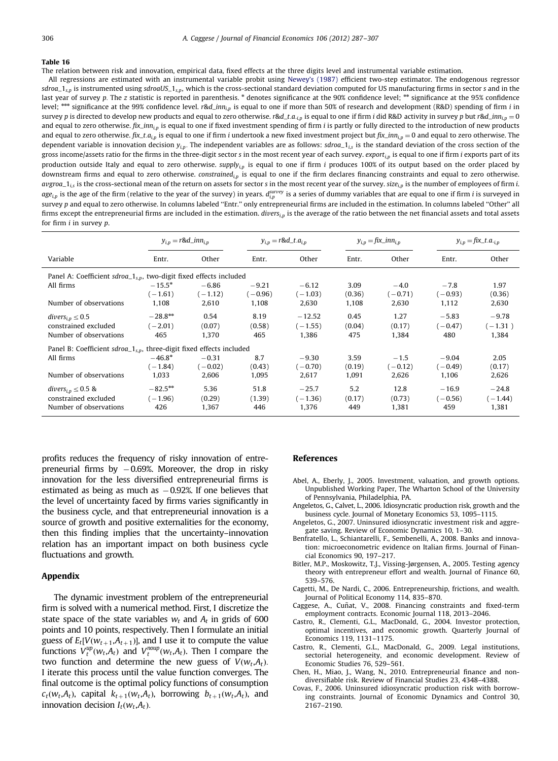<span id="page-19-0"></span>The relation between risk and innovation, empirical data, fixed effects at the three digits level and instrumental variable estimation.

All regressions are estimated with an instrumental variable probit using [Newey's \(1987\)](#page-20-0) efficient two-step estimator. The endogenous regressor  $sdroa_1_{s,p}$  is instrumented using sdroaUS<sub>-1s,p</sub>, which is the cross-sectional standard deviation computed for US manufacturing firms in sector s and in the last year of survey p. The z statistic is reported in parenthesis. \* denotes significance at the 90% confidence level; \*\* significance at the 95% confidence level; \*\*\* significance at the 99% confidence level. r&d\_inn<sub>i,p</sub> is equal to one if more than 50% of research and development (R&D) spending of firm i in survey p is directed to develop new products and equal to zero otherwise. r&d\_t.a.<sub>i,p</sub> is equal to one if firm *i* did R&D activity in survey p but r&d\_inn<sub>i,p</sub> = 0 and equal to zero otherwise.  $fix\_inn_{i,p}$  is equal to one if fixed investment spending of firm *i* is partly or fully directed to the introduction of new products and equal to zero otherwise.  $fix\_t.a_{i,p}$  is equal to one if firm i undertook a new fixed investment project but  $fix\_inn_{i,p} = 0$  and equal to zero otherwise. The dependent variable is innovation decision  $y_{in}$ . The independent variables are as follows:  $sdroa_1_{is}$  is the standard deviation of the cross section of the gross income/assets ratio for the firms in the three-digit sector s in the most recent year of each survey. export $_{i,p}$  is equal to one if firm i exports part of its production outside Italy and equal to zero otherwise. supply<sub>ip</sub> is equal to one if firm i produces 100% of its output based on the order placed by downstream firms and equal to zero otherwise. constrained<sub>in</sub> is equal to one if the firm declares financing constraints and equal to zero otherwise.  $avgroa_1_{i,s}$  is the cross-sectional mean of the return on assets for sector s in the most recent year of the survey.  $size_{ip}$  is the number of employees of firm i. age<sub>i,p</sub> is the age of the firm (relative to the year of the survey) in years.  $d_{i,p}^{\text{survey}}$  is a series of dummy variables that are equal to one if firm i is surveyed in survey p and equal to zero otherwise. In columns labeled ''Entr.'' only entrepreneurial firms are included in the estimation. In columns labeled ''Other'' all firms except the entrepreneurial firms are included in the estimation. divers<sub>i,p</sub> is the average of the ratio between the net financial assets and total assets for firm  $i$  in survey  $p$ .

|                                                                                      | $y_{i,n} = r \& d_i$           |                               |                        | $y_{i,n} = r \& d_t a_{i,n}$   | $y_{i,p} = fix\_inn_{i,p}$ |                              | $y_{i,p} = f i x_{i} t \cdot a_{i,p}$ |                               |
|--------------------------------------------------------------------------------------|--------------------------------|-------------------------------|------------------------|--------------------------------|----------------------------|------------------------------|---------------------------------------|-------------------------------|
| Variable                                                                             | Entr.                          | Other                         | Entr.                  | Other                          | Entr.                      | Other                        | Entr.                                 | Other                         |
| Panel A: Coefficient $sdroa_1_{s,p}$ , two-digit fixed effects included              |                                |                               |                        |                                |                            |                              |                                       |                               |
| All firms                                                                            | $-15.5*$<br>$(-1.61)$          | $-6.86$<br>$(-1.12)$          | $-9.21$<br>$(-0.96)$   | $-6.12$<br>$(-1.03)$           | 3.09<br>(0.36)             | $-4.0$<br>$(-0.71)$          | $-7.8$<br>$(-0.93)$                   | 1.97<br>(0.36)                |
| Number of observations                                                               | 1.108                          | 2,610                         | 1,108                  | 2,630                          | 1,108                      | 2,630                        | 1,112                                 | 2,630                         |
| $divers_{i,n} \leq 0.5$<br>constrained excluded<br>Number of observations            | $-28.8***$<br>$(-2.01)$<br>465 | 0.54<br>(0.07)<br>1,370       | 8.19<br>(0.58)<br>465  | $-12.52$<br>$(-1.55)$<br>1,386 | 0.45<br>(0.04)<br>475      | 1.27<br>(0.17)<br>1,384      | $-5.83$<br>$(-0.47)$<br>480           | $-9.78$<br>$(-1.31)$<br>1,384 |
| Panel B: Coefficient $sdroa_1_{s,n}$ , three-digit fixed effects included            |                                |                               |                        |                                |                            |                              |                                       |                               |
| All firms<br>Number of observations                                                  | $-46.8*$<br>$(-1.84)$<br>1,033 | $-0.31$<br>$(-0.02)$<br>2,606 | 8.7<br>(0.43)<br>1,095 | $-9.30$<br>$(-0.70)$<br>2,617  | 3.59<br>(0.19)<br>1,091    | $-1.5$<br>$(-0.12)$<br>2,626 | $-9.04$<br>$(-0.49)$<br>1,106         | 2.05<br>(0.17)<br>2,626       |
| divers <sub>i.p</sub> $\leq$ 0.5 &<br>constrained excluded<br>Number of observations | $-82.5***$<br>$(-1.96)$<br>426 | 5.36<br>(0.29)<br>1,367       | 51.8<br>(1.39)<br>446  | $-25.7$<br>$(-1.36)$<br>1,376  | 5.2<br>(0.17)<br>449       | 12.8<br>(0.73)<br>1,381      | $-16.9$<br>$(-0.56)$<br>459           | $-24.8$<br>$(-1.44)$<br>1,381 |

profits reduces the frequency of risky innovation of entrepreneurial firms by  $-0.69$ %. Moreover, the drop in risky innovation for the less diversified entrepreneurial firms is estimated as being as much as  $-0.92\%$ . If one believes that the level of uncertainty faced by firms varies significantly in the business cycle, and that entrepreneurial innovation is a source of growth and positive externalities for the economy, then this finding implies that the uncertainty–innovation relation has an important impact on both business cycle fluctuations and growth.

## Appendix

The dynamic investment problem of the entrepreneurial firm is solved with a numerical method. First, I discretize the state space of the state variables  $w_t$  and  $A_t$  in grids of 600 points and 10 points, respectively. Then I formulate an initial guess of  $E_t[V(w_{t+1},A_{t+1})]$ , and I use it to compute the value functions  $V_t^{up}(w_t, A_t)$  and  $V_t^{map}(w_t, A_t)$ . Then I compare the two function and determine the new guess of  $V(w_t, A_t)$ . I iterate this process until the value function converges. The final outcome is the optimal policy functions of consumption  $c_t(w_t, A_t)$ , capital  $k_{t+1}(w_t, A_t)$ , borrowing  $b_{t+1}(w_t, A_t)$ , and innovation decision  $I_t(w_t, A_t)$ .

## References

- Abel, A., Eberly, J., 2005. Investment, valuation, and growth options. Unpublished Working Paper, The Wharton School of the University of Pennsylvania, Philadelphia, PA.
- Angeletos, G., Calvet, L., 2006. Idiosyncratic production risk, growth and the business cycle. Journal of Monetary Economics 53, 1095–1115.
- Angeletos, G., 2007. Uninsured idiosyncratic investment risk and aggregate saving. Review of Economic Dynamics 10, 1–30.
- Benfratello, L., Schiantarelli, F., Sembenelli, A., 2008. Banks and innovation: microeconometric evidence on Italian firms. Journal of Financial Economics 90, 197–217.
- Bitler, M.P., Moskowitz, T.J., Vissing-Jørgensen, A., 2005. Testing agency theory with entrepreneur effort and wealth. Journal of Finance 60, 539–576.
- Cagetti, M., De Nardi, C., 2006. Entrepreneurship, frictions, and wealth. Journal of Political Economy 114, 835–870.
- Caggese, A., Cuñat, V., 2008. Financing constraints and fixed-term employment contracts. Economic Journal 118, 2013–2046.
- Castro, R., Clementi, G.L., MacDonald, G., 2004. Investor protection, optimal incentives, and economic growth. Quarterly Journal of Economics 119, 1131–1175.
- Castro, R., Clementi, G.L., MacDonald, G., 2009. Legal institutions, sectorial heterogeneity, and economic development. Review of Economic Studies 76, 529–561.
- Chen, H., Miao, J., Wang, N., 2010. Entrepreneurial finance and nondiversifiable risk. Review of Financial Studies 23, 4348–4388.
- Covas, F., 2006. Uninsured idiosyncratic production risk with borrowing constraints. Journal of Economic Dynamics and Control 30, 2167–2190.